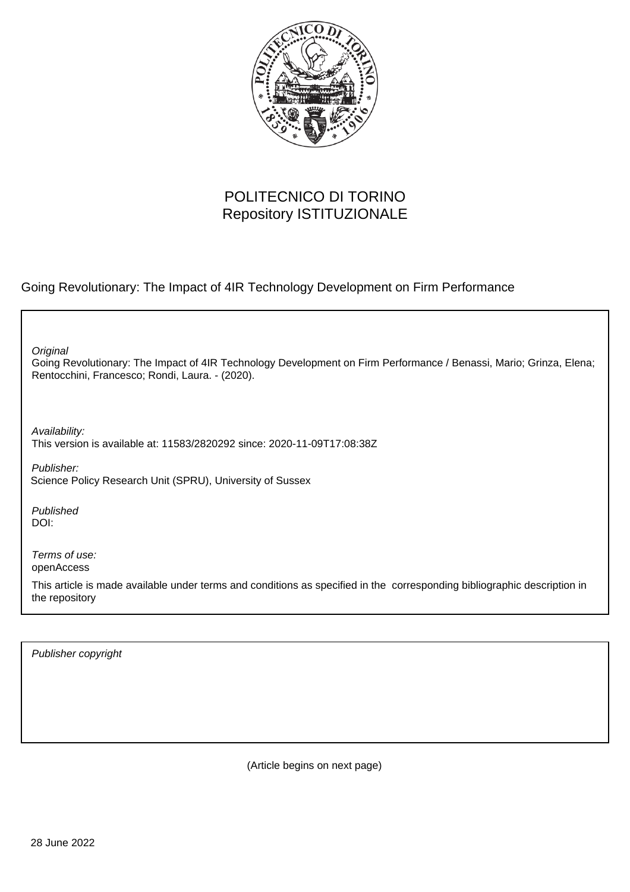

### POLITECNICO DI TORINO Repository ISTITUZIONALE

Going Revolutionary: The Impact of 4IR Technology Development on Firm Performance

**Original** 

Going Revolutionary: The Impact of 4IR Technology Development on Firm Performance / Benassi, Mario; Grinza, Elena; Rentocchini, Francesco; Rondi, Laura. - (2020).

Availability: This version is available at: 11583/2820292 since: 2020-11-09T17:08:38Z

Publisher: Science Policy Research Unit (SPRU), University of Sussex

Published DOI:

Terms of use: openAccess

This article is made available under terms and conditions as specified in the corresponding bibliographic description in the repository

Publisher copyright

(Article begins on next page)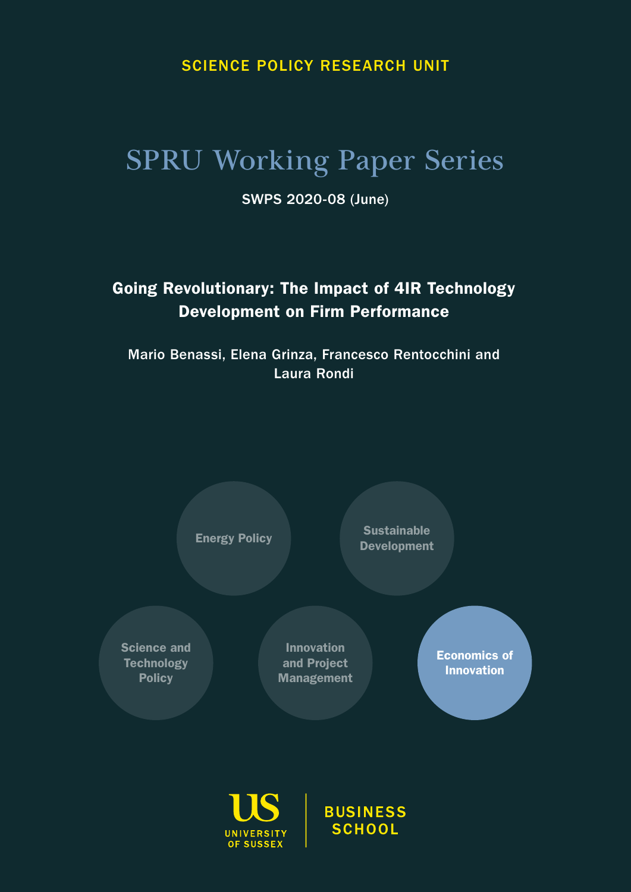### SCIENCE POLICY RESEARCH UNIT

# SPRU Working Paper Series

SWPS 2020-08 (June)

## Going Revolutionary: The Impact of 4IR Technology Development on Firm Performance

Mario Benassi, Elena Grinza, Francesco Rentocchini and Laura Rondi





**BUSINESS SCHOOL**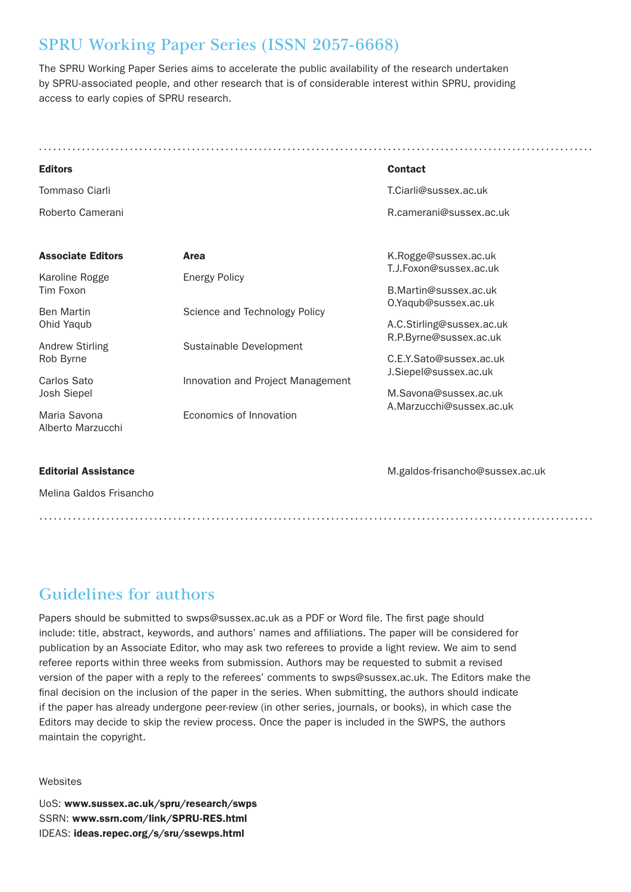### SPRU Working Paper Series (ISSN 2057-6668)

The SPRU Working Paper Series aims to accelerate the public availability of the research undertaken by SPRU-associated people, and other research that is of considerable interest within SPRU, providing access to early copies of SPRU research.

| <b>Editors</b>                      |                                   | <b>Contact</b>                                    |
|-------------------------------------|-----------------------------------|---------------------------------------------------|
| Tommaso Ciarli                      |                                   | T.Ciarli@sussex.ac.uk                             |
| Roberto Camerani                    |                                   | R.camerani@sussex.ac.uk                           |
| <b>Associate Editors</b>            | Area                              | K.Rogge@sussex.ac.uk                              |
| Karoline Rogge<br>Tim Foxon         | <b>Energy Policy</b>              | T.J.Foxon@sussex.ac.uk<br>B.Martin@sussex.ac.uk   |
| <b>Ben Martin</b><br>Ohid Yaqub     | Science and Technology Policy     | O.Yaqub@sussex.ac.uk<br>A.C.Stirling@sussex.ac.uk |
| <b>Andrew Stirling</b><br>Rob Byrne | Sustainable Development           | R.P.Byrne@sussex.ac.uk<br>C.E.Y.Sato@sussex.ac.uk |
| Carlos Sato<br>Josh Siepel          | Innovation and Project Management | J.Siepel@sussex.ac.uk<br>M.Savona@sussex.ac.uk    |
| Maria Savona<br>Alberto Marzucchi   | Economics of Innovation           | A.Marzucchi@sussex.ac.uk                          |

#### Editorial Assistance

Melina Galdos Frisancho

M.galdos-frisancho@sussex.ac.uk

Guidelines for authors

Papers should be submitted to swps@sussex.ac.uk as a PDF or Word file. The first page should include: title, abstract, keywords, and authors' names and affiliations. The paper will be considered for publication by an Associate Editor, who may ask two referees to provide a light review. We aim to send referee reports within three weeks from submission. Authors may be requested to submit a revised version of the paper with a reply to the referees' comments to swps@sussex.ac.uk. The Editors make the final decision on the inclusion of the paper in the series. When submitting, the authors should indicate if the paper has already undergone peer-review (in other series, journals, or books), in which case the Editors may decide to skip the review process. Once the paper is included in the SWPS, the authors maintain the copyright.

Websites

UoS: www.sussex.ac.uk/spru/research/swps SSRN: www.ssrn.com/link/SPRU-RES.html IDEAS: ideas.repec.org/s/sru/ssewps.html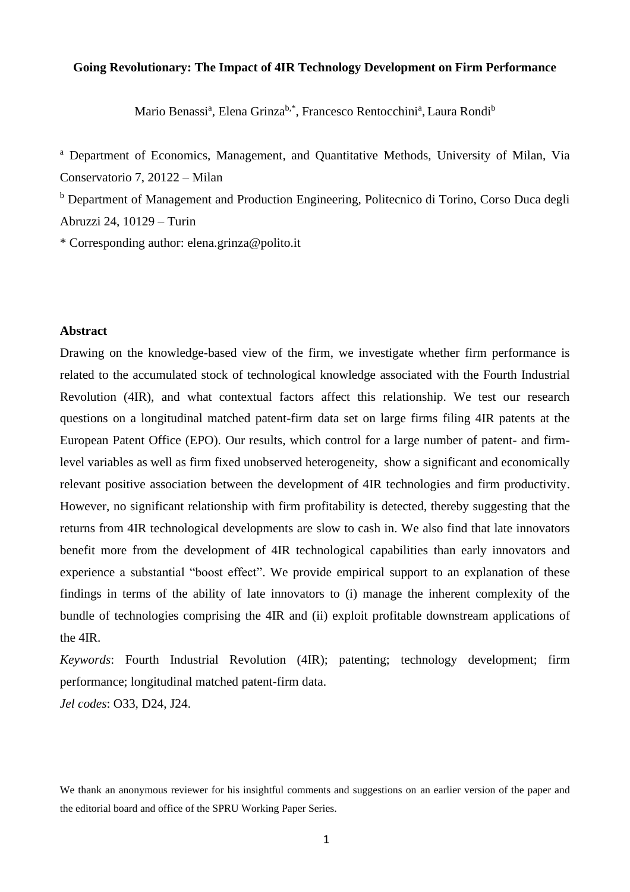#### **Going Revolutionary: The Impact of 4IR Technology Development on Firm Performance**

Mario Benassi<sup>a</sup>, Elena Grinza<sup>b,\*</sup>, Francesco Rentocchini<sup>a</sup>, Laura Rondi<sup>b</sup>

<sup>a</sup> Department of Economics, Management, and Quantitative Methods, University of Milan, Via Conservatorio 7, 20122 – Milan

<sup>b</sup> Department of Management and Production Engineering, Politecnico di Torino, Corso Duca degli Abruzzi 24, 10129 – Turin

\* Corresponding author: elena.grinza@polito.it

#### **Abstract**

Drawing on the knowledge-based view of the firm, we investigate whether firm performance is related to the accumulated stock of technological knowledge associated with the Fourth Industrial Revolution (4IR), and what contextual factors affect this relationship. We test our research questions on a longitudinal matched patent-firm data set on large firms filing 4IR patents at the European Patent Office (EPO). Our results, which control for a large number of patent- and firmlevel variables as well as firm fixed unobserved heterogeneity, show a significant and economically relevant positive association between the development of 4IR technologies and firm productivity. However, no significant relationship with firm profitability is detected, thereby suggesting that the returns from 4IR technological developments are slow to cash in. We also find that late innovators benefit more from the development of 4IR technological capabilities than early innovators and experience a substantial "boost effect". We provide empirical support to an explanation of these findings in terms of the ability of late innovators to (i) manage the inherent complexity of the bundle of technologies comprising the 4IR and (ii) exploit profitable downstream applications of the 4IR.

*Keywords*: Fourth Industrial Revolution (4IR); patenting; technology development; firm performance; longitudinal matched patent-firm data.

*Jel codes*: O33, D24, J24.

We thank an anonymous reviewer for his insightful comments and suggestions on an earlier version of the paper and the editorial board and office of the SPRU Working Paper Series.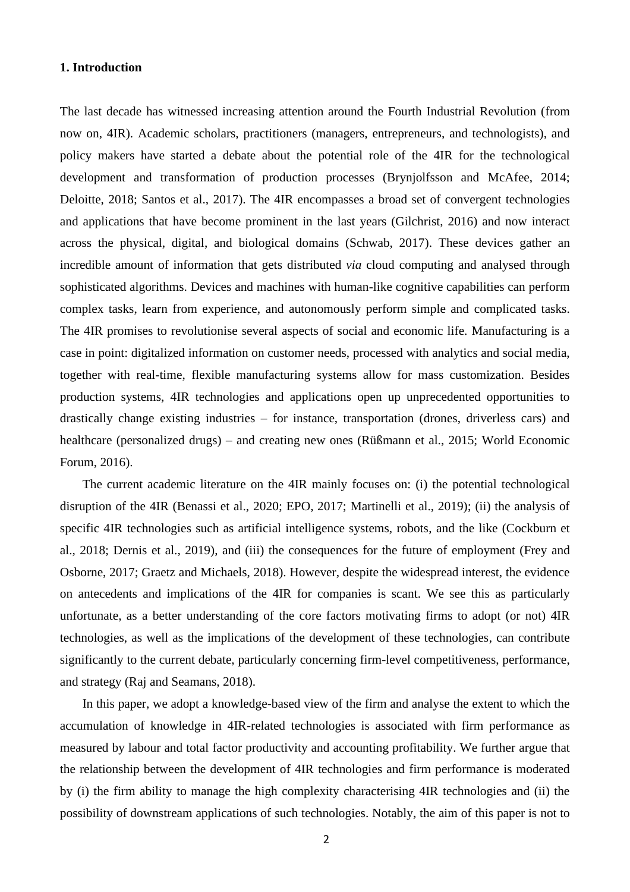#### **1. Introduction**

The last decade has witnessed increasing attention around the Fourth Industrial Revolution (from now on, 4IR). Academic scholars, practitioners (managers, entrepreneurs, and technologists), and policy makers have started a debate about the potential role of the 4IR for the technological development and transformation of production processes (Brynjolfsson and McAfee, 2014; Deloitte, 2018; Santos et al., 2017). The 4IR encompasses a broad set of convergent technologies and applications that have become prominent in the last years (Gilchrist, 2016) and now interact across the physical, digital, and biological domains (Schwab, 2017). These devices gather an incredible amount of information that gets distributed *via* cloud computing and analysed through sophisticated algorithms. Devices and machines with human-like cognitive capabilities can perform complex tasks, learn from experience, and autonomously perform simple and complicated tasks. The 4IR promises to revolutionise several aspects of social and economic life. Manufacturing is a case in point: digitalized information on customer needs, processed with analytics and social media, together with real-time, flexible manufacturing systems allow for mass customization. Besides production systems, 4IR technologies and applications open up unprecedented opportunities to drastically change existing industries – for instance, transportation (drones, driverless cars) and healthcare (personalized drugs) – and creating new ones (Rüßmann et al., 2015; World Economic Forum, 2016).

The current academic literature on the 4IR mainly focuses on: (i) the potential technological disruption of the 4IR (Benassi et al., 2020; EPO, 2017; Martinelli et al., 2019); (ii) the analysis of specific 4IR technologies such as artificial intelligence systems, robots, and the like (Cockburn et al., 2018; Dernis et al., 2019), and (iii) the consequences for the future of employment (Frey and Osborne, 2017; Graetz and Michaels, 2018). However, despite the widespread interest, the evidence on antecedents and implications of the 4IR for companies is scant. We see this as particularly unfortunate, as a better understanding of the core factors motivating firms to adopt (or not) 4IR technologies, as well as the implications of the development of these technologies, can contribute significantly to the current debate, particularly concerning firm-level competitiveness, performance, and strategy (Raj and Seamans, 2018).

In this paper, we adopt a knowledge-based view of the firm and analyse the extent to which the accumulation of knowledge in 4IR-related technologies is associated with firm performance as measured by labour and total factor productivity and accounting profitability. We further argue that the relationship between the development of 4IR technologies and firm performance is moderated by (i) the firm ability to manage the high complexity characterising 4IR technologies and (ii) the possibility of downstream applications of such technologies. Notably, the aim of this paper is not to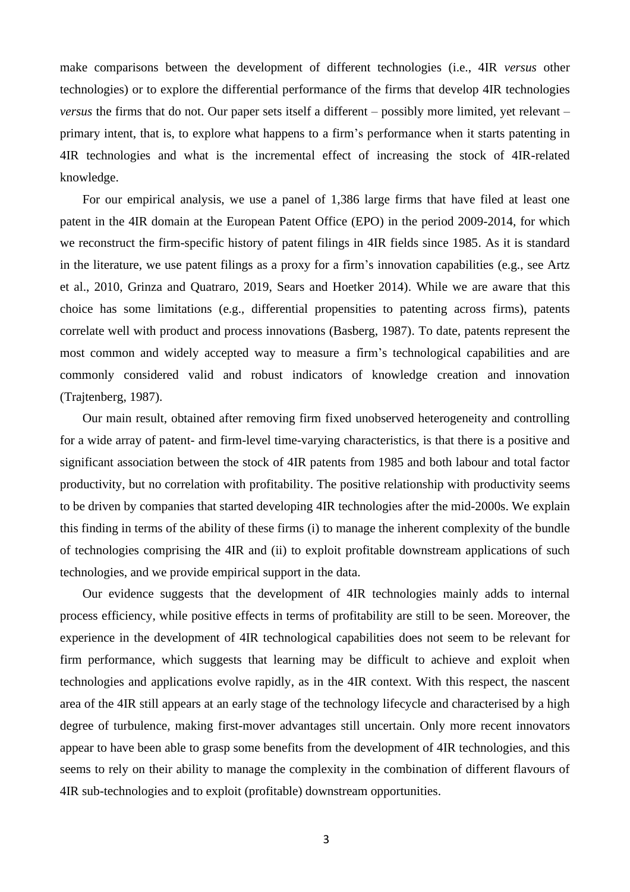make comparisons between the development of different technologies (i.e., 4IR *versus* other technologies) or to explore the differential performance of the firms that develop 4IR technologies *versus* the firms that do not. Our paper sets itself a different – possibly more limited, yet relevant – primary intent, that is, to explore what happens to a firm's performance when it starts patenting in 4IR technologies and what is the incremental effect of increasing the stock of 4IR-related knowledge.

For our empirical analysis, we use a panel of 1,386 large firms that have filed at least one patent in the 4IR domain at the European Patent Office (EPO) in the period 2009-2014, for which we reconstruct the firm-specific history of patent filings in 4IR fields since 1985. As it is standard in the literature, we use patent filings as a proxy for a firm's innovation capabilities (e.g., see Artz et al., 2010, Grinza and Quatraro, 2019, Sears and Hoetker 2014). While we are aware that this choice has some limitations (e.g., differential propensities to patenting across firms), patents correlate well with product and process innovations (Basberg, 1987). To date, patents represent the most common and widely accepted way to measure a firm's technological capabilities and are commonly considered valid and robust indicators of knowledge creation and innovation (Trajtenberg, 1987).

Our main result, obtained after removing firm fixed unobserved heterogeneity and controlling for a wide array of patent- and firm-level time-varying characteristics, is that there is a positive and significant association between the stock of 4IR patents from 1985 and both labour and total factor productivity, but no correlation with profitability. The positive relationship with productivity seems to be driven by companies that started developing 4IR technologies after the mid-2000s. We explain this finding in terms of the ability of these firms (i) to manage the inherent complexity of the bundle of technologies comprising the 4IR and (ii) to exploit profitable downstream applications of such technologies, and we provide empirical support in the data.

Our evidence suggests that the development of 4IR technologies mainly adds to internal process efficiency, while positive effects in terms of profitability are still to be seen. Moreover, the experience in the development of 4IR technological capabilities does not seem to be relevant for firm performance, which suggests that learning may be difficult to achieve and exploit when technologies and applications evolve rapidly, as in the 4IR context. With this respect, the nascent area of the 4IR still appears at an early stage of the technology lifecycle and characterised by a high degree of turbulence, making first-mover advantages still uncertain. Only more recent innovators appear to have been able to grasp some benefits from the development of 4IR technologies, and this seems to rely on their ability to manage the complexity in the combination of different flavours of 4IR sub-technologies and to exploit (profitable) downstream opportunities.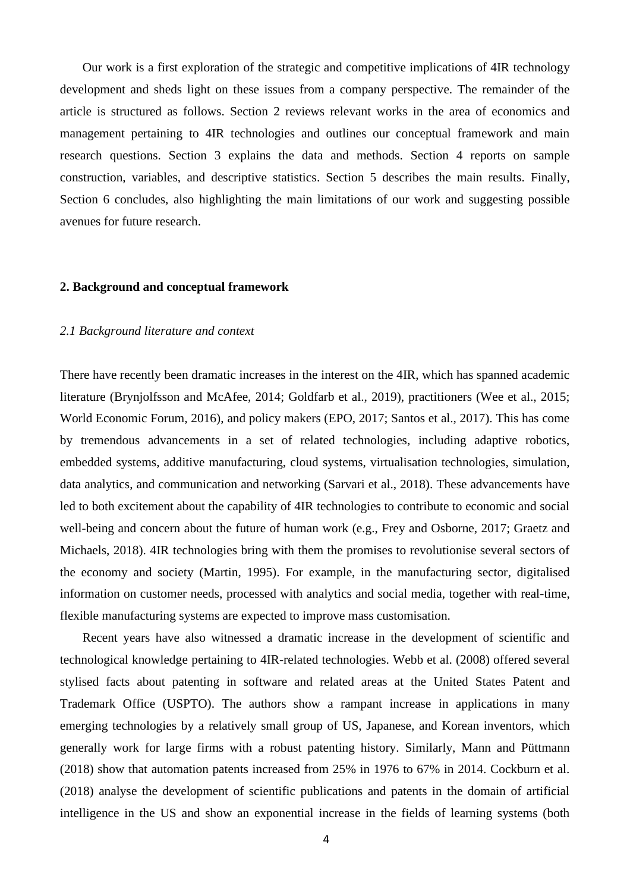Our work is a first exploration of the strategic and competitive implications of 4IR technology development and sheds light on these issues from a company perspective. The remainder of the article is structured as follows. Section 2 reviews relevant works in the area of economics and management pertaining to 4IR technologies and outlines our conceptual framework and main research questions. Section 3 explains the data and methods. Section 4 reports on sample construction, variables, and descriptive statistics. Section 5 describes the main results. Finally, Section 6 concludes, also highlighting the main limitations of our work and suggesting possible avenues for future research.

#### **2. Background and conceptual framework**

#### *2.1 Background literature and context*

There have recently been dramatic increases in the interest on the 4IR, which has spanned academic literature (Brynjolfsson and McAfee, 2014; Goldfarb et al., 2019), practitioners (Wee et al., 2015; World Economic Forum, 2016), and policy makers (EPO, 2017; Santos et al., 2017). This has come by tremendous advancements in a set of related technologies, including adaptive robotics, embedded systems, additive manufacturing, cloud systems, virtualisation technologies, simulation, data analytics, and communication and networking (Sarvari et al., 2018). These advancements have led to both excitement about the capability of 4IR technologies to contribute to economic and social well-being and concern about the future of human work (e.g., Frey and Osborne, 2017; Graetz and Michaels, 2018). 4IR technologies bring with them the promises to revolutionise several sectors of the economy and society (Martin, 1995). For example, in the manufacturing sector, digitalised information on customer needs, processed with analytics and social media, together with real-time, flexible manufacturing systems are expected to improve mass customisation.

Recent years have also witnessed a dramatic increase in the development of scientific and technological knowledge pertaining to 4IR-related technologies. Webb et al. (2008) offered several stylised facts about patenting in software and related areas at the United States Patent and Trademark Office (USPTO). The authors show a rampant increase in applications in many emerging technologies by a relatively small group of US, Japanese, and Korean inventors, which generally work for large firms with a robust patenting history. Similarly, Mann and Püttmann (2018) show that automation patents increased from 25% in 1976 to 67% in 2014. Cockburn et al. (2018) analyse the development of scientific publications and patents in the domain of artificial intelligence in the US and show an exponential increase in the fields of learning systems (both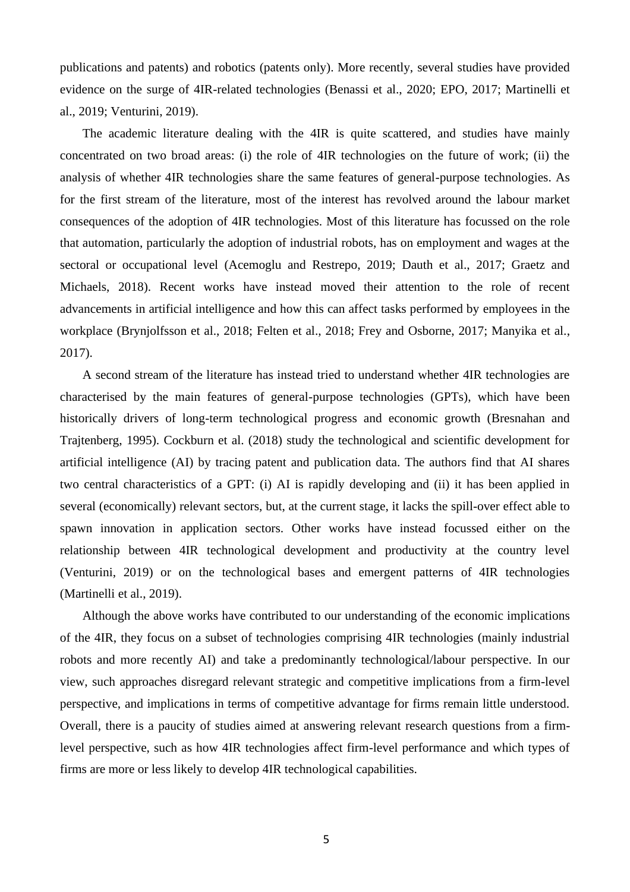publications and patents) and robotics (patents only). More recently, several studies have provided evidence on the surge of 4IR-related technologies (Benassi et al., 2020; EPO, 2017; Martinelli et al., 2019; Venturini, 2019).

The academic literature dealing with the 4IR is quite scattered, and studies have mainly concentrated on two broad areas: (i) the role of 4IR technologies on the future of work; (ii) the analysis of whether 4IR technologies share the same features of general-purpose technologies. As for the first stream of the literature, most of the interest has revolved around the labour market consequences of the adoption of 4IR technologies. Most of this literature has focussed on the role that automation, particularly the adoption of industrial robots, has on employment and wages at the sectoral or occupational level (Acemoglu and Restrepo, 2019; Dauth et al., 2017; Graetz and Michaels, 2018). Recent works have instead moved their attention to the role of recent advancements in artificial intelligence and how this can affect tasks performed by employees in the workplace (Brynjolfsson et al., 2018; Felten et al., 2018; Frey and Osborne, 2017; Manyika et al., 2017).

A second stream of the literature has instead tried to understand whether 4IR technologies are characterised by the main features of general-purpose technologies (GPTs), which have been historically drivers of long-term technological progress and economic growth (Bresnahan and Trajtenberg, 1995). Cockburn et al. (2018) study the technological and scientific development for artificial intelligence (AI) by tracing patent and publication data. The authors find that AI shares two central characteristics of a GPT: (i) AI is rapidly developing and (ii) it has been applied in several (economically) relevant sectors, but, at the current stage, it lacks the spill-over effect able to spawn innovation in application sectors. Other works have instead focussed either on the relationship between 4IR technological development and productivity at the country level (Venturini, 2019) or on the technological bases and emergent patterns of 4IR technologies (Martinelli et al., 2019).

Although the above works have contributed to our understanding of the economic implications of the 4IR, they focus on a subset of technologies comprising 4IR technologies (mainly industrial robots and more recently AI) and take a predominantly technological/labour perspective. In our view, such approaches disregard relevant strategic and competitive implications from a firm-level perspective, and implications in terms of competitive advantage for firms remain little understood. Overall, there is a paucity of studies aimed at answering relevant research questions from a firmlevel perspective, such as how 4IR technologies affect firm-level performance and which types of firms are more or less likely to develop 4IR technological capabilities.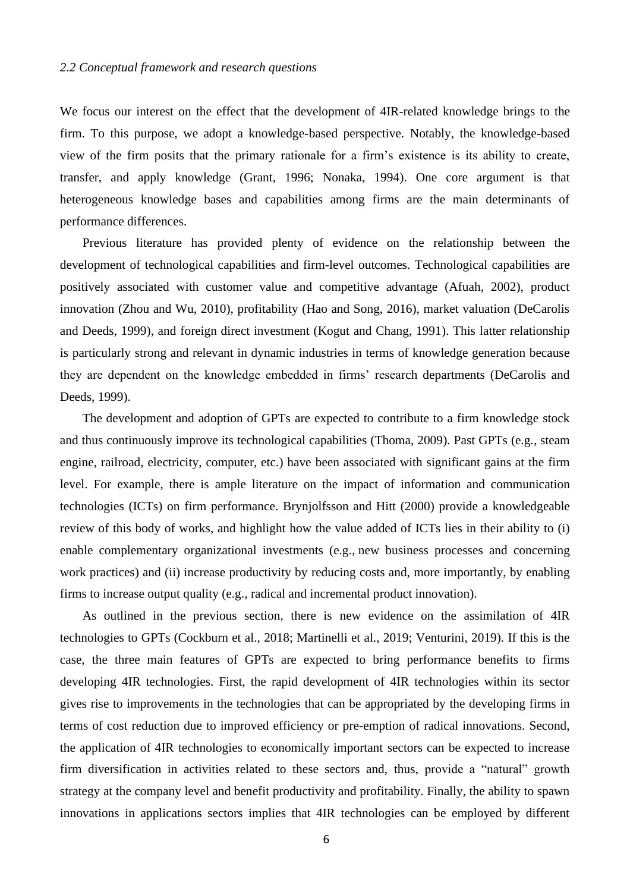We focus our interest on the effect that the development of 4IR-related knowledge brings to the firm. To this purpose, we adopt a knowledge-based perspective. Notably, the knowledge-based view of the firm posits that the primary rationale for a firm's existence is its ability to create, transfer, and apply knowledge (Grant, 1996; Nonaka, 1994). One core argument is that heterogeneous knowledge bases and capabilities among firms are the main determinants of performance differences.

Previous literature has provided plenty of evidence on the relationship between the development of technological capabilities and firm-level outcomes. Technological capabilities are positively associated with customer value and competitive advantage (Afuah, 2002), product innovation (Zhou and Wu, 2010), profitability (Hao and Song, 2016), market valuation (DeCarolis and Deeds, 1999), and foreign direct investment (Kogut and Chang, 1991). This latter relationship is particularly strong and relevant in dynamic industries in terms of knowledge generation because they are dependent on the knowledge embedded in firms' research departments (DeCarolis and Deeds, 1999).

The development and adoption of GPTs are expected to contribute to a firm knowledge stock and thus continuously improve its technological capabilities (Thoma, 2009). Past GPTs (e.g., steam engine, railroad, electricity, computer, etc.) have been associated with significant gains at the firm level. For example, there is ample literature on the impact of information and communication technologies (ICTs) on firm performance. Brynjolfsson and Hitt (2000) provide a knowledgeable review of this body of works, and highlight how the value added of ICTs lies in their ability to (i) enable complementary organizational investments (e.g., new business processes and concerning work practices) and (ii) increase productivity by reducing costs and, more importantly, by enabling firms to increase output quality (e.g., radical and incremental product innovation).

As outlined in the previous section, there is new evidence on the assimilation of 4IR technologies to GPTs (Cockburn et al., 2018; Martinelli et al., 2019; Venturini, 2019). If this is the case, the three main features of GPTs are expected to bring performance benefits to firms developing 4IR technologies. First, the rapid development of 4IR technologies within its sector gives rise to improvements in the technologies that can be appropriated by the developing firms in terms of cost reduction due to improved efficiency or pre-emption of radical innovations. Second, the application of 4IR technologies to economically important sectors can be expected to increase firm diversification in activities related to these sectors and, thus, provide a "natural" growth strategy at the company level and benefit productivity and profitability. Finally, the ability to spawn innovations in applications sectors implies that 4IR technologies can be employed by different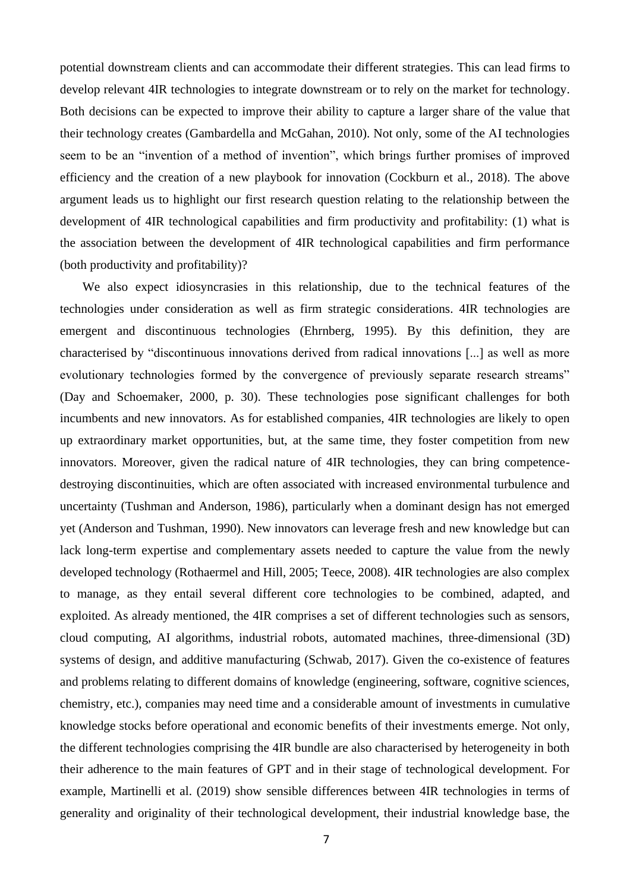potential downstream clients and can accommodate their different strategies. This can lead firms to develop relevant 4IR technologies to integrate downstream or to rely on the market for technology. Both decisions can be expected to improve their ability to capture a larger share of the value that their technology creates (Gambardella and McGahan, 2010). Not only, some of the AI technologies seem to be an "invention of a method of invention", which brings further promises of improved efficiency and the creation of a new playbook for innovation (Cockburn et al., 2018). The above argument leads us to highlight our first research question relating to the relationship between the development of 4IR technological capabilities and firm productivity and profitability: (1) what is the association between the development of 4IR technological capabilities and firm performance (both productivity and profitability)?

We also expect idiosyncrasies in this relationship, due to the technical features of the technologies under consideration as well as firm strategic considerations. 4IR technologies are emergent and discontinuous technologies (Ehrnberg, 1995). By this definition, they are characterised by "discontinuous innovations derived from radical innovations [...] as well as more evolutionary technologies formed by the convergence of previously separate research streams" (Day and Schoemaker, 2000, p. 30). These technologies pose significant challenges for both incumbents and new innovators. As for established companies, 4IR technologies are likely to open up extraordinary market opportunities, but, at the same time, they foster competition from new innovators. Moreover, given the radical nature of 4IR technologies, they can bring competencedestroying discontinuities, which are often associated with increased environmental turbulence and uncertainty (Tushman and Anderson, 1986), particularly when a dominant design has not emerged yet (Anderson and Tushman, 1990). New innovators can leverage fresh and new knowledge but can lack long-term expertise and complementary assets needed to capture the value from the newly developed technology (Rothaermel and Hill, 2005; Teece, 2008). 4IR technologies are also complex to manage, as they entail several different core technologies to be combined, adapted, and exploited. As already mentioned, the 4IR comprises a set of different technologies such as sensors, cloud computing, AI algorithms, industrial robots, automated machines, three-dimensional (3D) systems of design, and additive manufacturing (Schwab, 2017). Given the co-existence of features and problems relating to different domains of knowledge (engineering, software, cognitive sciences, chemistry, etc.), companies may need time and a considerable amount of investments in cumulative knowledge stocks before operational and economic benefits of their investments emerge. Not only, the different technologies comprising the 4IR bundle are also characterised by heterogeneity in both their adherence to the main features of GPT and in their stage of technological development. For example, Martinelli et al. (2019) show sensible differences between 4IR technologies in terms of generality and originality of their technological development, their industrial knowledge base, the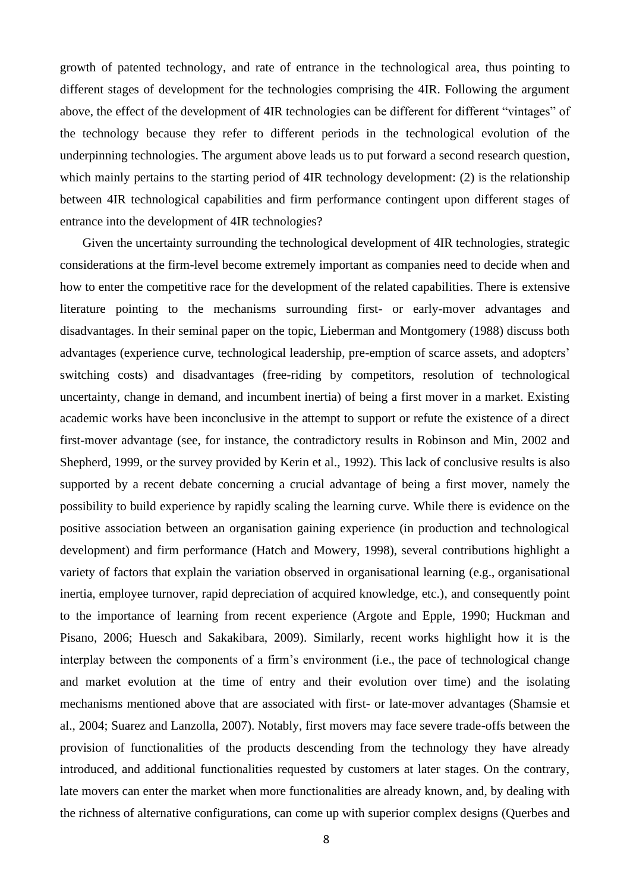growth of patented technology, and rate of entrance in the technological area, thus pointing to different stages of development for the technologies comprising the 4IR. Following the argument above, the effect of the development of 4IR technologies can be different for different "vintages" of the technology because they refer to different periods in the technological evolution of the underpinning technologies. The argument above leads us to put forward a second research question, which mainly pertains to the starting period of 4IR technology development: (2) is the relationship between 4IR technological capabilities and firm performance contingent upon different stages of entrance into the development of 4IR technologies?

Given the uncertainty surrounding the technological development of 4IR technologies, strategic considerations at the firm-level become extremely important as companies need to decide when and how to enter the competitive race for the development of the related capabilities. There is extensive literature pointing to the mechanisms surrounding first- or early-mover advantages and disadvantages. In their seminal paper on the topic, Lieberman and Montgomery (1988) discuss both advantages (experience curve, technological leadership, pre-emption of scarce assets, and adopters' switching costs) and disadvantages (free-riding by competitors, resolution of technological uncertainty, change in demand, and incumbent inertia) of being a first mover in a market. Existing academic works have been inconclusive in the attempt to support or refute the existence of a direct first-mover advantage (see, for instance, the contradictory results in Robinson and Min, 2002 and Shepherd, 1999, or the survey provided by Kerin et al., 1992). This lack of conclusive results is also supported by a recent debate concerning a crucial advantage of being a first mover, namely the possibility to build experience by rapidly scaling the learning curve. While there is evidence on the positive association between an organisation gaining experience (in production and technological development) and firm performance (Hatch and Mowery, 1998), several contributions highlight a variety of factors that explain the variation observed in organisational learning (e.g., organisational inertia, employee turnover, rapid depreciation of acquired knowledge, etc.), and consequently point to the importance of learning from recent experience (Argote and Epple, 1990; Huckman and Pisano, 2006; Huesch and Sakakibara, 2009). Similarly, recent works highlight how it is the interplay between the components of a firm's environment (i.e., the pace of technological change and market evolution at the time of entry and their evolution over time) and the isolating mechanisms mentioned above that are associated with first- or late-mover advantages (Shamsie et al., 2004; Suarez and Lanzolla, 2007). Notably, first movers may face severe trade-offs between the provision of functionalities of the products descending from the technology they have already introduced, and additional functionalities requested by customers at later stages. On the contrary, late movers can enter the market when more functionalities are already known, and, by dealing with the richness of alternative configurations, can come up with superior complex designs (Querbes and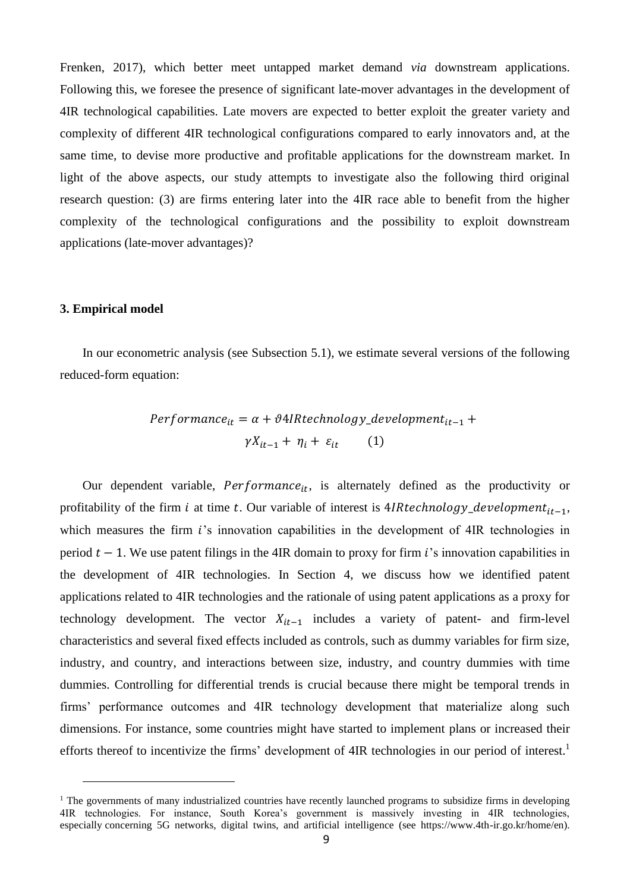Frenken, 2017), which better meet untapped market demand *via* downstream applications. Following this, we foresee the presence of significant late-mover advantages in the development of 4IR technological capabilities. Late movers are expected to better exploit the greater variety and complexity of different 4IR technological configurations compared to early innovators and, at the same time, to devise more productive and profitable applications for the downstream market. In light of the above aspects, our study attempts to investigate also the following third original research question: (3) are firms entering later into the 4IR race able to benefit from the higher complexity of the technological configurations and the possibility to exploit downstream applications (late-mover advantages)?

#### **3. Empirical model**

In our econometric analysis (see Subsection 5.1), we estimate several versions of the following reduced-form equation:

$$
Performance_{it} = \alpha + \vartheta 4IRtechnology\_development_{it-1} + \gamma X_{it-1} + \eta_i + \varepsilon_{it} \qquad (1)
$$

Our dependent variable,  $Performance_{it}$ , is alternately defined as the productivity or profitability of the firm *i* at time *t*. Our variable of interest is 4*IRtechnology\_development<sub>it-1</sub>*, which measures the firm  $i$ 's innovation capabilities in the development of  $4IR$  technologies in period  $t - 1$ . We use patent filings in the 4IR domain to proxy for firm *i*'s innovation capabilities in the development of 4IR technologies. In Section 4, we discuss how we identified patent applications related to 4IR technologies and the rationale of using patent applications as a proxy for technology development. The vector  $X_{it-1}$  includes a variety of patent- and firm-level characteristics and several fixed effects included as controls, such as dummy variables for firm size, industry, and country, and interactions between size, industry, and country dummies with time dummies. Controlling for differential trends is crucial because there might be temporal trends in firms' performance outcomes and 4IR technology development that materialize along such dimensions. For instance, some countries might have started to implement plans or increased their efforts thereof to incentivize the firms' development of 4IR technologies in our period of interest.<sup>1</sup>

 $1$  The governments of many industrialized countries have recently launched programs to subsidize firms in developing 4IR technologies. For instance, South Korea's government is massively investing in 4IR technologies, especially concerning 5G networks, digital twins, and artificial intelligence (see https://www.4th-ir.go.kr/home/en).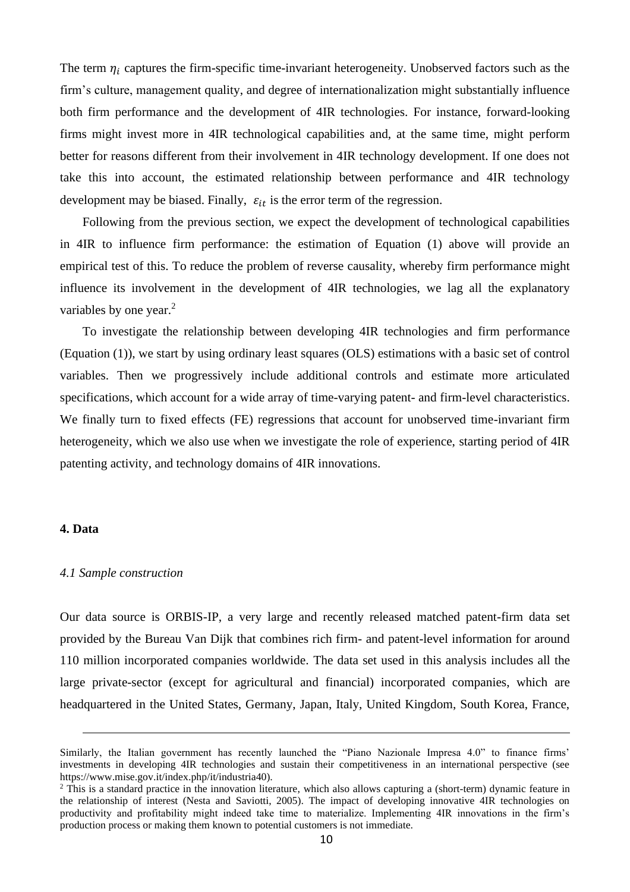The term  $\eta_i$  captures the firm-specific time-invariant heterogeneity. Unobserved factors such as the firm's culture, management quality, and degree of internationalization might substantially influence both firm performance and the development of 4IR technologies. For instance, forward-looking firms might invest more in 4IR technological capabilities and, at the same time, might perform better for reasons different from their involvement in 4IR technology development. If one does not take this into account, the estimated relationship between performance and 4IR technology development may be biased. Finally,  $\varepsilon_{it}$  is the error term of the regression.

Following from the previous section, we expect the development of technological capabilities in 4IR to influence firm performance: the estimation of Equation (1) above will provide an empirical test of this. To reduce the problem of reverse causality, whereby firm performance might influence its involvement in the development of 4IR technologies, we lag all the explanatory variables by one year.<sup>2</sup>

To investigate the relationship between developing 4IR technologies and firm performance (Equation (1)), we start by using ordinary least squares (OLS) estimations with a basic set of control variables. Then we progressively include additional controls and estimate more articulated specifications, which account for a wide array of time-varying patent- and firm-level characteristics. We finally turn to fixed effects (FE) regressions that account for unobserved time-invariant firm heterogeneity, which we also use when we investigate the role of experience, starting period of 4IR patenting activity, and technology domains of 4IR innovations.

#### **4. Data**

#### *4.1 Sample construction*

Our data source is ORBIS-IP, a very large and recently released matched patent-firm data set provided by the Bureau Van Dijk that combines rich firm- and patent-level information for around 110 million incorporated companies worldwide. The data set used in this analysis includes all the large private-sector (except for agricultural and financial) incorporated companies, which are headquartered in the United States, Germany, Japan, Italy, United Kingdom, South Korea, France,

Similarly, the Italian government has recently launched the "Piano Nazionale Impresa 4.0" to finance firms' investments in developing 4IR technologies and sustain their competitiveness in an international perspective (see https://www.mise.gov.it/index.php/it/industria40).

<sup>&</sup>lt;sup>2</sup> This is a standard practice in the innovation literature, which also allows capturing a (short-term) dynamic feature in the relationship of interest (Nesta and Saviotti, 2005). The impact of developing innovative 4IR technologies on productivity and profitability might indeed take time to materialize. Implementing 4IR innovations in the firm's production process or making them known to potential customers is not immediate.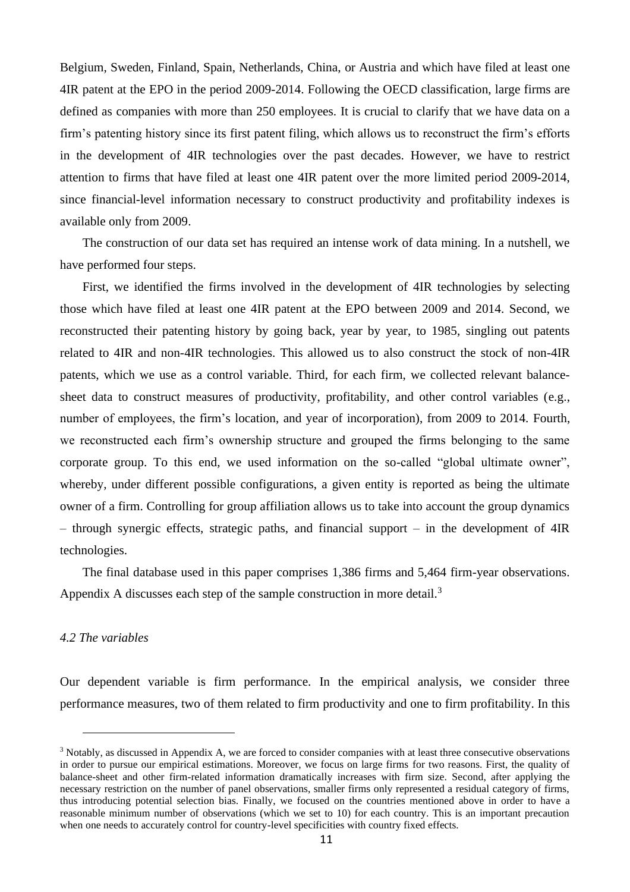Belgium, Sweden, Finland, Spain, Netherlands, China, or Austria and which have filed at least one 4IR patent at the EPO in the period 2009-2014. Following the OECD classification, large firms are defined as companies with more than 250 employees. It is crucial to clarify that we have data on a firm's patenting history since its first patent filing, which allows us to reconstruct the firm's efforts in the development of 4IR technologies over the past decades. However, we have to restrict attention to firms that have filed at least one 4IR patent over the more limited period 2009-2014, since financial-level information necessary to construct productivity and profitability indexes is available only from 2009.

The construction of our data set has required an intense work of data mining. In a nutshell, we have performed four steps.

First, we identified the firms involved in the development of 4IR technologies by selecting those which have filed at least one 4IR patent at the EPO between 2009 and 2014. Second, we reconstructed their patenting history by going back, year by year, to 1985, singling out patents related to 4IR and non-4IR technologies. This allowed us to also construct the stock of non-4IR patents, which we use as a control variable. Third, for each firm, we collected relevant balancesheet data to construct measures of productivity, profitability, and other control variables (e.g., number of employees, the firm's location, and year of incorporation), from 2009 to 2014. Fourth, we reconstructed each firm's ownership structure and grouped the firms belonging to the same corporate group. To this end, we used information on the so-called "global ultimate owner", whereby, under different possible configurations, a given entity is reported as being the ultimate owner of a firm. Controlling for group affiliation allows us to take into account the group dynamics – through synergic effects, strategic paths, and financial support – in the development of 4IR technologies.

The final database used in this paper comprises 1,386 firms and 5,464 firm-year observations. Appendix A discusses each step of the sample construction in more detail.<sup>3</sup>

#### *4.2 The variables*

Our dependent variable is firm performance. In the empirical analysis, we consider three performance measures, two of them related to firm productivity and one to firm profitability. In this

<sup>3</sup> Notably, as discussed in Appendix A, we are forced to consider companies with at least three consecutive observations in order to pursue our empirical estimations. Moreover, we focus on large firms for two reasons. First, the quality of balance-sheet and other firm-related information dramatically increases with firm size. Second, after applying the necessary restriction on the number of panel observations, smaller firms only represented a residual category of firms, thus introducing potential selection bias. Finally, we focused on the countries mentioned above in order to have a reasonable minimum number of observations (which we set to 10) for each country. This is an important precaution when one needs to accurately control for country-level specificities with country fixed effects.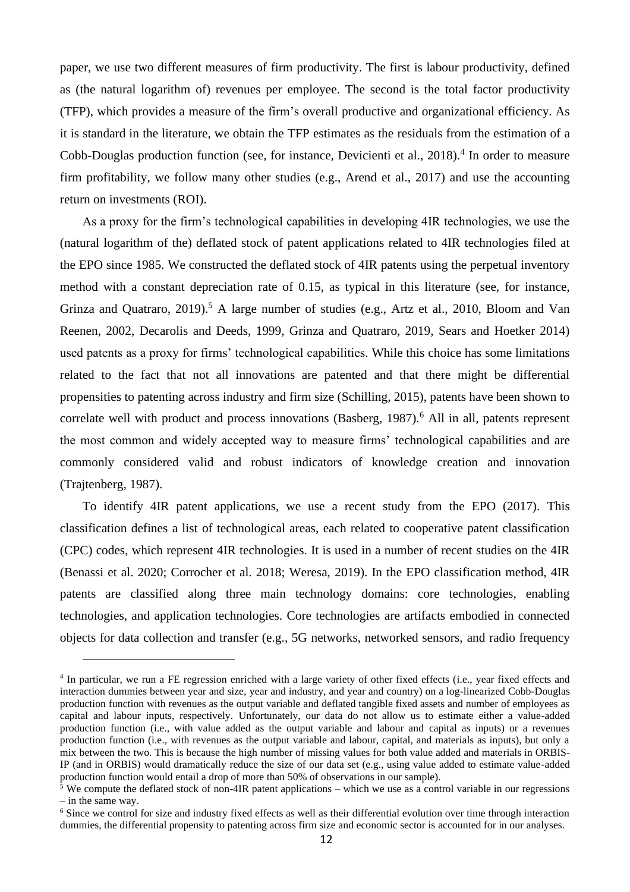paper, we use two different measures of firm productivity. The first is labour productivity, defined as (the natural logarithm of) revenues per employee. The second is the total factor productivity (TFP), which provides a measure of the firm's overall productive and organizational efficiency. As it is standard in the literature, we obtain the TFP estimates as the residuals from the estimation of a Cobb-Douglas production function (see, for instance, Devicienti et al., 2018).<sup>4</sup> In order to measure firm profitability, we follow many other studies (e.g., Arend et al., 2017) and use the accounting return on investments (ROI).

As a proxy for the firm's technological capabilities in developing 4IR technologies, we use the (natural logarithm of the) deflated stock of patent applications related to 4IR technologies filed at the EPO since 1985. We constructed the deflated stock of 4IR patents using the perpetual inventory method with a constant depreciation rate of 0.15, as typical in this literature (see, for instance, Grinza and Quatraro,  $2019$ ).<sup>5</sup> A large number of studies (e.g., Artz et al.,  $2010$ , Bloom and Van Reenen, 2002, Decarolis and Deeds, 1999, Grinza and Quatraro, 2019, Sears and Hoetker 2014) used patents as a proxy for firms' technological capabilities. While this choice has some limitations related to the fact that not all innovations are patented and that there might be differential propensities to patenting across industry and firm size (Schilling, 2015), patents have been shown to correlate well with product and process innovations (Basberg,  $1987$ ).<sup>6</sup> All in all, patents represent the most common and widely accepted way to measure firms' technological capabilities and are commonly considered valid and robust indicators of knowledge creation and innovation (Trajtenberg, 1987).

To identify 4IR patent applications, we use a recent study from the EPO (2017). This classification defines a list of technological areas, each related to cooperative patent classification (CPC) codes, which represent 4IR technologies. It is used in a number of recent studies on the 4IR (Benassi et al. 2020; Corrocher et al. 2018; Weresa, 2019). In the EPO classification method, 4IR patents are classified along three main technology domains: core technologies, enabling technologies, and application technologies. Core technologies are artifacts embodied in connected objects for data collection and transfer (e.g., 5G networks, networked sensors, and radio frequency

<sup>4</sup> In particular, we run a FE regression enriched with a large variety of other fixed effects (i.e., year fixed effects and interaction dummies between year and size, year and industry, and year and country) on a log-linearized Cobb-Douglas production function with revenues as the output variable and deflated tangible fixed assets and number of employees as capital and labour inputs, respectively. Unfortunately, our data do not allow us to estimate either a value-added production function (i.e., with value added as the output variable and labour and capital as inputs) or a revenues production function (i.e., with revenues as the output variable and labour, capital, and materials as inputs), but only a mix between the two. This is because the high number of missing values for both value added and materials in ORBIS-IP (and in ORBIS) would dramatically reduce the size of our data set (e.g., using value added to estimate value-added production function would entail a drop of more than 50% of observations in our sample).

 $5$  We compute the deflated stock of non-4IR patent applications – which we use as a control variable in our regressions – in the same way.

<sup>&</sup>lt;sup>6</sup> Since we control for size and industry fixed effects as well as their differential evolution over time through interaction dummies, the differential propensity to patenting across firm size and economic sector is accounted for in our analyses.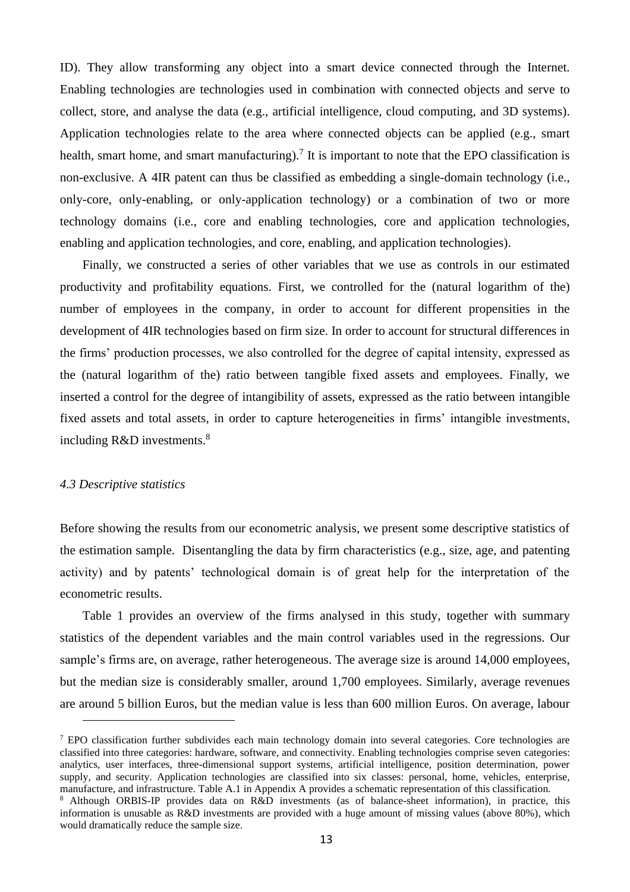ID). They allow transforming any object into a smart device connected through the Internet. Enabling technologies are technologies used in combination with connected objects and serve to collect, store, and analyse the data (e.g., artificial intelligence, cloud computing, and 3D systems). Application technologies relate to the area where connected objects can be applied (e.g., smart health, smart home, and smart manufacturing).<sup>7</sup> It is important to note that the EPO classification is non-exclusive. A 4IR patent can thus be classified as embedding a single-domain technology (i.e., only-core, only-enabling, or only-application technology) or a combination of two or more technology domains (i.e., core and enabling technologies, core and application technologies, enabling and application technologies, and core, enabling, and application technologies).

Finally, we constructed a series of other variables that we use as controls in our estimated productivity and profitability equations. First, we controlled for the (natural logarithm of the) number of employees in the company, in order to account for different propensities in the development of 4IR technologies based on firm size. In order to account for structural differences in the firms' production processes, we also controlled for the degree of capital intensity, expressed as the (natural logarithm of the) ratio between tangible fixed assets and employees. Finally, we inserted a control for the degree of intangibility of assets, expressed as the ratio between intangible fixed assets and total assets, in order to capture heterogeneities in firms' intangible investments, including R&D investments.<sup>8</sup>

#### *4.3 Descriptive statistics*

Before showing the results from our econometric analysis, we present some descriptive statistics of the estimation sample. Disentangling the data by firm characteristics (e.g., size, age, and patenting activity) and by patents' technological domain is of great help for the interpretation of the econometric results.

Table 1 provides an overview of the firms analysed in this study, together with summary statistics of the dependent variables and the main control variables used in the regressions. Our sample's firms are, on average, rather heterogeneous. The average size is around 14,000 employees, but the median size is considerably smaller, around 1,700 employees. Similarly, average revenues are around 5 billion Euros, but the median value is less than 600 million Euros. On average, labour

<sup>&</sup>lt;sup>7</sup> EPO classification further subdivides each main technology domain into several categories. Core technologies are classified into three categories: hardware, software, and connectivity. Enabling technologies comprise seven categories: analytics, user interfaces, three-dimensional support systems, artificial intelligence, position determination, power supply, and security. Application technologies are classified into six classes: personal, home, vehicles, enterprise, manufacture, and infrastructure. Table A.1 in Appendix A provides a schematic representation of this classification.

<sup>8</sup> Although ORBIS-IP provides data on R&D investments (as of balance-sheet information), in practice, this information is unusable as R&D investments are provided with a huge amount of missing values (above 80%), which would dramatically reduce the sample size.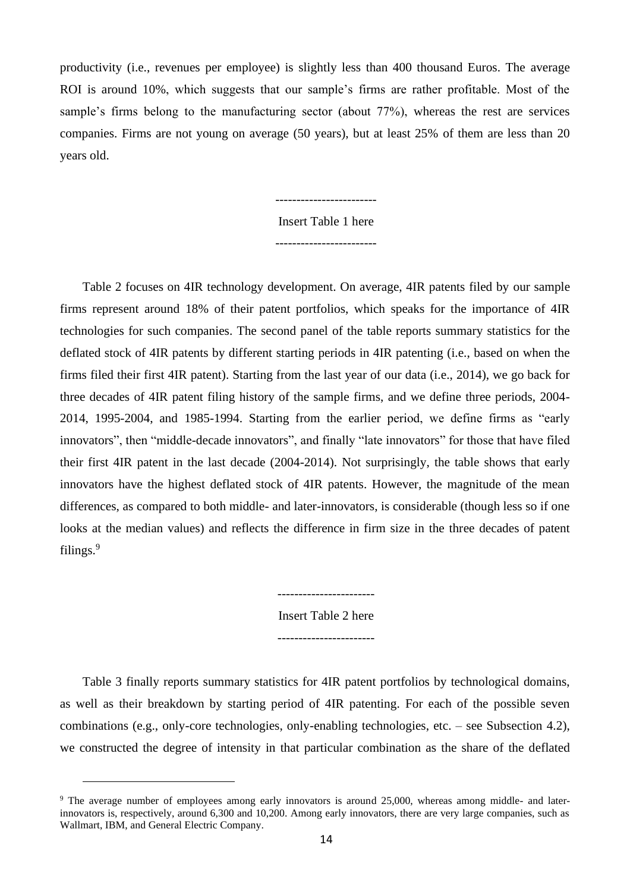productivity (i.e., revenues per employee) is slightly less than 400 thousand Euros. The average ROI is around 10%, which suggests that our sample's firms are rather profitable. Most of the sample's firms belong to the manufacturing sector (about 77%), whereas the rest are services companies. Firms are not young on average (50 years), but at least 25% of them are less than 20 years old.

> Insert Table 1 here ------------------------

> ------------------------

Table 2 focuses on 4IR technology development. On average, 4IR patents filed by our sample firms represent around 18% of their patent portfolios, which speaks for the importance of 4IR technologies for such companies. The second panel of the table reports summary statistics for the deflated stock of 4IR patents by different starting periods in 4IR patenting (i.e., based on when the firms filed their first 4IR patent). Starting from the last year of our data (i.e., 2014), we go back for three decades of 4IR patent filing history of the sample firms, and we define three periods, 2004- 2014, 1995-2004, and 1985-1994. Starting from the earlier period, we define firms as "early innovators", then "middle-decade innovators", and finally "late innovators" for those that have filed their first 4IR patent in the last decade (2004-2014). Not surprisingly, the table shows that early innovators have the highest deflated stock of 4IR patents. However, the magnitude of the mean differences, as compared to both middle- and later-innovators, is considerable (though less so if one looks at the median values) and reflects the difference in firm size in the three decades of patent filings. $9$ 

> Insert Table 2 here -----------------------

-----------------------

Table 3 finally reports summary statistics for 4IR patent portfolios by technological domains, as well as their breakdown by starting period of 4IR patenting. For each of the possible seven combinations (e.g., only-core technologies, only-enabling technologies, etc. – see Subsection 4.2), we constructed the degree of intensity in that particular combination as the share of the deflated

<sup>&</sup>lt;sup>9</sup> The average number of employees among early innovators is around 25,000, whereas among middle- and laterinnovators is, respectively, around 6,300 and 10,200. Among early innovators, there are very large companies, such as Wallmart, IBM, and General Electric Company.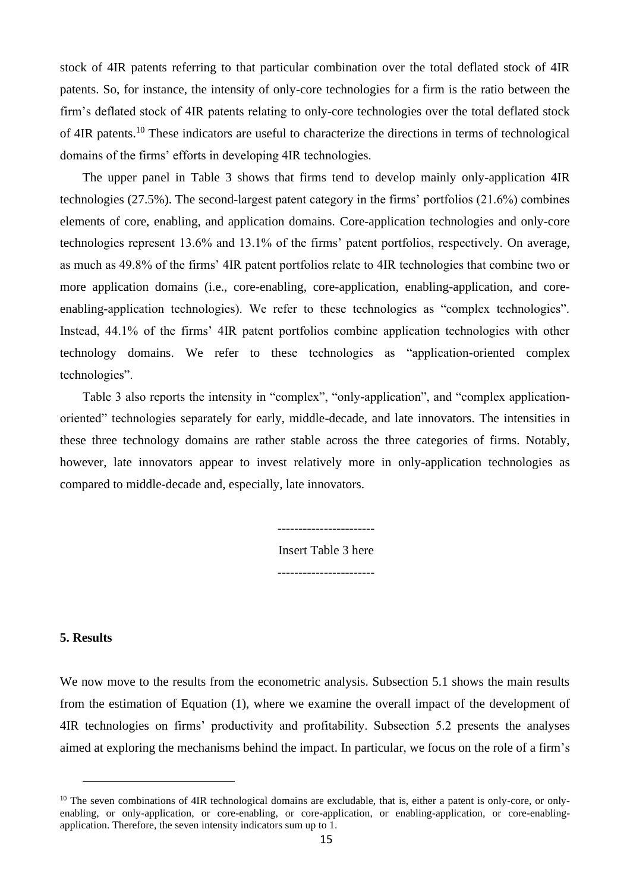stock of 4IR patents referring to that particular combination over the total deflated stock of 4IR patents. So, for instance, the intensity of only-core technologies for a firm is the ratio between the firm's deflated stock of 4IR patents relating to only-core technologies over the total deflated stock of 4IR patents.<sup>10</sup> These indicators are useful to characterize the directions in terms of technological domains of the firms' efforts in developing 4IR technologies.

The upper panel in Table 3 shows that firms tend to develop mainly only-application 4IR technologies (27.5%). The second-largest patent category in the firms' portfolios (21.6%) combines elements of core, enabling, and application domains. Core-application technologies and only-core technologies represent 13.6% and 13.1% of the firms' patent portfolios, respectively. On average, as much as 49.8% of the firms' 4IR patent portfolios relate to 4IR technologies that combine two or more application domains (i.e., core-enabling, core-application, enabling-application, and coreenabling-application technologies). We refer to these technologies as "complex technologies". Instead, 44.1% of the firms' 4IR patent portfolios combine application technologies with other technology domains. We refer to these technologies as "application-oriented complex technologies".

Table 3 also reports the intensity in "complex", "only-application", and "complex applicationoriented" technologies separately for early, middle-decade, and late innovators. The intensities in these three technology domains are rather stable across the three categories of firms. Notably, however, late innovators appear to invest relatively more in only-application technologies as compared to middle-decade and, especially, late innovators.

> Insert Table 3 here -----------------------

-----------------------

#### **5. Results**

We now move to the results from the econometric analysis. Subsection 5.1 shows the main results from the estimation of Equation (1), where we examine the overall impact of the development of 4IR technologies on firms' productivity and profitability. Subsection 5.2 presents the analyses aimed at exploring the mechanisms behind the impact. In particular, we focus on the role of a firm's

<sup>&</sup>lt;sup>10</sup> The seven combinations of 4IR technological domains are excludable, that is, either a patent is only-core, or onlyenabling, or only-application, or core-enabling, or core-application, or enabling-application, or core-enablingapplication. Therefore, the seven intensity indicators sum up to 1.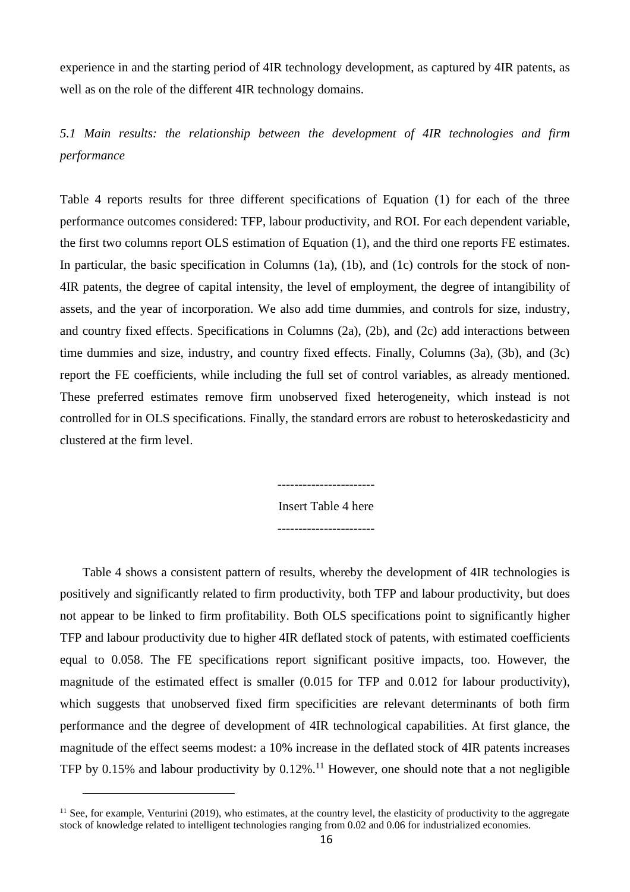experience in and the starting period of 4IR technology development, as captured by 4IR patents, as well as on the role of the different 4IR technology domains.

*5.1 Main results: the relationship between the development of 4IR technologies and firm performance*

Table 4 reports results for three different specifications of Equation (1) for each of the three performance outcomes considered: TFP, labour productivity, and ROI. For each dependent variable, the first two columns report OLS estimation of Equation (1), and the third one reports FE estimates. In particular, the basic specification in Columns (1a), (1b), and (1c) controls for the stock of non-4IR patents, the degree of capital intensity, the level of employment, the degree of intangibility of assets, and the year of incorporation. We also add time dummies, and controls for size, industry, and country fixed effects. Specifications in Columns (2a), (2b), and (2c) add interactions between time dummies and size, industry, and country fixed effects. Finally, Columns (3a), (3b), and (3c) report the FE coefficients, while including the full set of control variables, as already mentioned. These preferred estimates remove firm unobserved fixed heterogeneity, which instead is not controlled for in OLS specifications. Finally, the standard errors are robust to heteroskedasticity and clustered at the firm level.

Insert Table 4 here

-----------------------

Table 4 shows a consistent pattern of results, whereby the development of 4IR technologies is positively and significantly related to firm productivity, both TFP and labour productivity, but does not appear to be linked to firm profitability. Both OLS specifications point to significantly higher TFP and labour productivity due to higher 4IR deflated stock of patents, with estimated coefficients equal to 0.058. The FE specifications report significant positive impacts, too. However, the magnitude of the estimated effect is smaller (0.015 for TFP and 0.012 for labour productivity), which suggests that unobserved fixed firm specificities are relevant determinants of both firm performance and the degree of development of 4IR technological capabilities. At first glance, the magnitude of the effect seems modest: a 10% increase in the deflated stock of 4IR patents increases TFP by 0.15% and labour productivity by  $0.12\%$ .<sup>11</sup> However, one should note that a not negligible

 $11$  See, for example, Venturini (2019), who estimates, at the country level, the elasticity of productivity to the aggregate stock of knowledge related to intelligent technologies ranging from 0.02 and 0.06 for industrialized economies.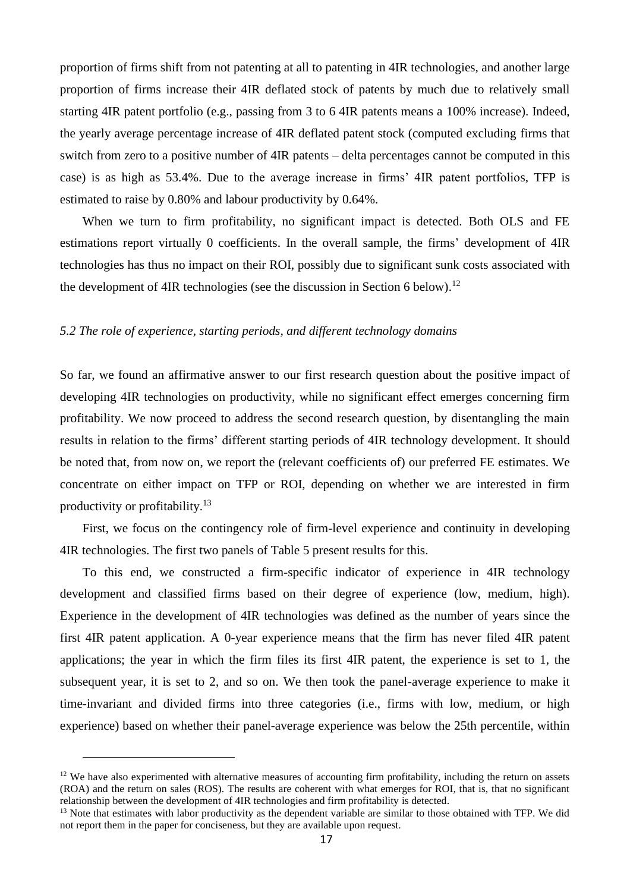proportion of firms shift from not patenting at all to patenting in 4IR technologies, and another large proportion of firms increase their 4IR deflated stock of patents by much due to relatively small starting 4IR patent portfolio (e.g., passing from 3 to 6 4IR patents means a 100% increase). Indeed, the yearly average percentage increase of 4IR deflated patent stock (computed excluding firms that switch from zero to a positive number of 4IR patents – delta percentages cannot be computed in this case) is as high as 53.4%. Due to the average increase in firms' 4IR patent portfolios, TFP is estimated to raise by 0.80% and labour productivity by 0.64%.

When we turn to firm profitability, no significant impact is detected. Both OLS and FE estimations report virtually 0 coefficients. In the overall sample, the firms' development of 4IR technologies has thus no impact on their ROI, possibly due to significant sunk costs associated with the development of 4IR technologies (see the discussion in Section 6 below).<sup>12</sup>

#### *5.2 The role of experience, starting periods, and different technology domains*

So far, we found an affirmative answer to our first research question about the positive impact of developing 4IR technologies on productivity, while no significant effect emerges concerning firm profitability. We now proceed to address the second research question, by disentangling the main results in relation to the firms' different starting periods of 4IR technology development. It should be noted that, from now on, we report the (relevant coefficients of) our preferred FE estimates. We concentrate on either impact on TFP or ROI, depending on whether we are interested in firm productivity or profitability.<sup>13</sup>

First, we focus on the contingency role of firm-level experience and continuity in developing 4IR technologies. The first two panels of Table 5 present results for this.

To this end, we constructed a firm-specific indicator of experience in 4IR technology development and classified firms based on their degree of experience (low, medium, high). Experience in the development of 4IR technologies was defined as the number of years since the first 4IR patent application. A 0-year experience means that the firm has never filed 4IR patent applications; the year in which the firm files its first 4IR patent, the experience is set to 1, the subsequent year, it is set to 2, and so on. We then took the panel-average experience to make it time-invariant and divided firms into three categories (i.e., firms with low, medium, or high experience) based on whether their panel-average experience was below the 25th percentile, within

 $12$  We have also experimented with alternative measures of accounting firm profitability, including the return on assets (ROA) and the return on sales (ROS). The results are coherent with what emerges for ROI, that is, that no significant relationship between the development of 4IR technologies and firm profitability is detected.

<sup>&</sup>lt;sup>13</sup> Note that estimates with labor productivity as the dependent variable are similar to those obtained with TFP. We did not report them in the paper for conciseness, but they are available upon request.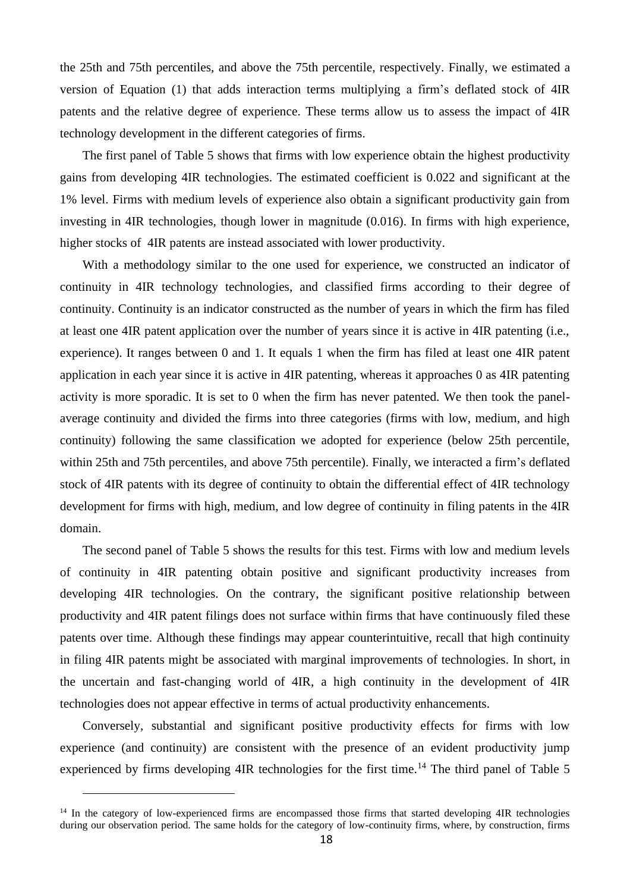the 25th and 75th percentiles, and above the 75th percentile, respectively. Finally, we estimated a version of Equation (1) that adds interaction terms multiplying a firm's deflated stock of 4IR patents and the relative degree of experience. These terms allow us to assess the impact of 4IR technology development in the different categories of firms.

The first panel of Table 5 shows that firms with low experience obtain the highest productivity gains from developing 4IR technologies. The estimated coefficient is 0.022 and significant at the 1% level. Firms with medium levels of experience also obtain a significant productivity gain from investing in 4IR technologies, though lower in magnitude (0.016). In firms with high experience, higher stocks of 4IR patents are instead associated with lower productivity.

With a methodology similar to the one used for experience, we constructed an indicator of continuity in 4IR technology technologies, and classified firms according to their degree of continuity. Continuity is an indicator constructed as the number of years in which the firm has filed at least one 4IR patent application over the number of years since it is active in 4IR patenting (i.e., experience). It ranges between 0 and 1. It equals 1 when the firm has filed at least one 4IR patent application in each year since it is active in 4IR patenting, whereas it approaches 0 as 4IR patenting activity is more sporadic. It is set to 0 when the firm has never patented. We then took the panelaverage continuity and divided the firms into three categories (firms with low, medium, and high continuity) following the same classification we adopted for experience (below 25th percentile, within 25th and 75th percentiles, and above 75th percentile). Finally, we interacted a firm's deflated stock of 4IR patents with its degree of continuity to obtain the differential effect of 4IR technology development for firms with high, medium, and low degree of continuity in filing patents in the 4IR domain.

The second panel of Table 5 shows the results for this test. Firms with low and medium levels of continuity in 4IR patenting obtain positive and significant productivity increases from developing 4IR technologies. On the contrary, the significant positive relationship between productivity and 4IR patent filings does not surface within firms that have continuously filed these patents over time. Although these findings may appear counterintuitive, recall that high continuity in filing 4IR patents might be associated with marginal improvements of technologies. In short, in the uncertain and fast-changing world of 4IR, a high continuity in the development of 4IR technologies does not appear effective in terms of actual productivity enhancements.

Conversely, substantial and significant positive productivity effects for firms with low experience (and continuity) are consistent with the presence of an evident productivity jump experienced by firms developing  $4IR$  technologies for the first time.<sup>14</sup> The third panel of Table 5

<sup>&</sup>lt;sup>14</sup> In the category of low-experienced firms are encompassed those firms that started developing 4IR technologies during our observation period. The same holds for the category of low-continuity firms, where, by construction, firms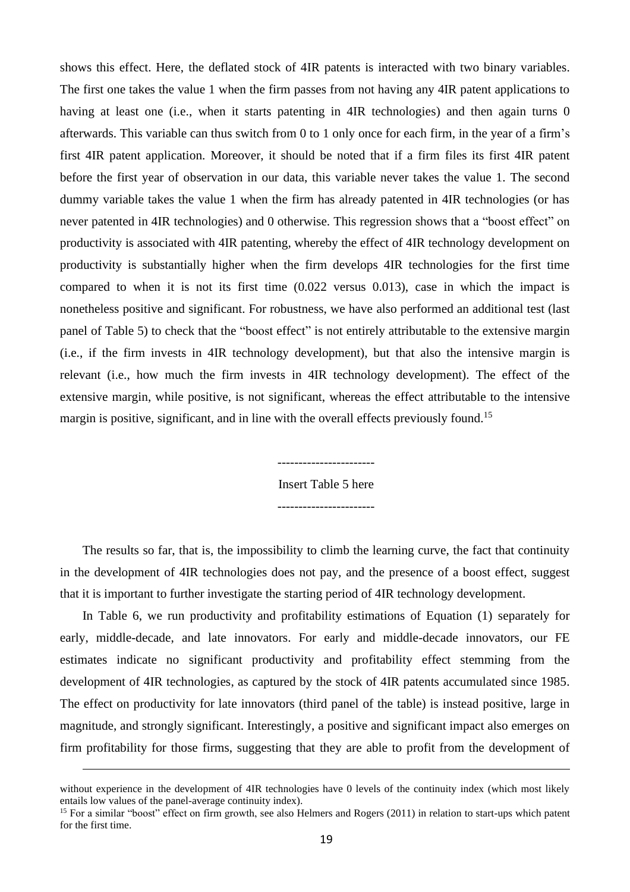shows this effect. Here, the deflated stock of 4IR patents is interacted with two binary variables. The first one takes the value 1 when the firm passes from not having any 4IR patent applications to having at least one (i.e., when it starts patenting in 4IR technologies) and then again turns 0 afterwards. This variable can thus switch from 0 to 1 only once for each firm, in the year of a firm's first 4IR patent application. Moreover, it should be noted that if a firm files its first 4IR patent before the first year of observation in our data, this variable never takes the value 1. The second dummy variable takes the value 1 when the firm has already patented in 4IR technologies (or has never patented in 4IR technologies) and 0 otherwise. This regression shows that a "boost effect" on productivity is associated with 4IR patenting, whereby the effect of 4IR technology development on productivity is substantially higher when the firm develops 4IR technologies for the first time compared to when it is not its first time (0.022 versus 0.013), case in which the impact is nonetheless positive and significant. For robustness, we have also performed an additional test (last panel of Table 5) to check that the "boost effect" is not entirely attributable to the extensive margin (i.e., if the firm invests in 4IR technology development), but that also the intensive margin is relevant (i.e., how much the firm invests in 4IR technology development). The effect of the extensive margin, while positive, is not significant, whereas the effect attributable to the intensive margin is positive, significant, and in line with the overall effects previously found.<sup>15</sup>

> ----------------------- Insert Table 5 here -----------------------

The results so far, that is, the impossibility to climb the learning curve, the fact that continuity in the development of 4IR technologies does not pay, and the presence of a boost effect, suggest that it is important to further investigate the starting period of 4IR technology development.

In Table 6, we run productivity and profitability estimations of Equation (1) separately for early, middle-decade, and late innovators. For early and middle-decade innovators, our FE estimates indicate no significant productivity and profitability effect stemming from the development of 4IR technologies, as captured by the stock of 4IR patents accumulated since 1985. The effect on productivity for late innovators (third panel of the table) is instead positive, large in magnitude, and strongly significant. Interestingly, a positive and significant impact also emerges on firm profitability for those firms, suggesting that they are able to profit from the development of

without experience in the development of 4IR technologies have 0 levels of the continuity index (which most likely entails low values of the panel-average continuity index).

<sup>&</sup>lt;sup>15</sup> For a similar "boost" effect on firm growth, see also Helmers and Rogers (2011) in relation to start-ups which patent for the first time.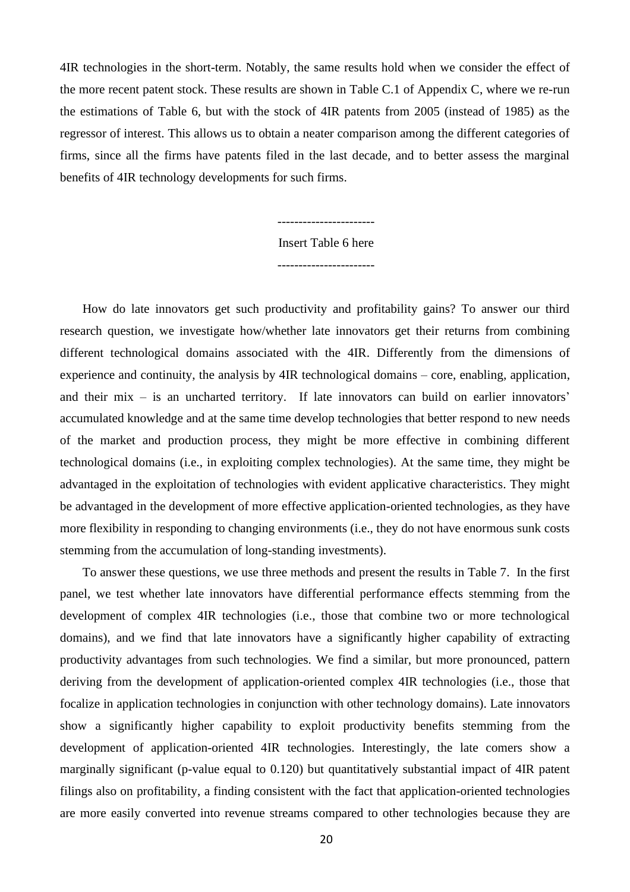4IR technologies in the short-term. Notably, the same results hold when we consider the effect of the more recent patent stock. These results are shown in Table C.1 of Appendix C, where we re-run the estimations of Table 6, but with the stock of 4IR patents from 2005 (instead of 1985) as the regressor of interest. This allows us to obtain a neater comparison among the different categories of firms, since all the firms have patents filed in the last decade, and to better assess the marginal benefits of 4IR technology developments for such firms.

### Insert Table 6 here -----------------------

-----------------------

How do late innovators get such productivity and profitability gains? To answer our third research question, we investigate how/whether late innovators get their returns from combining different technological domains associated with the 4IR. Differently from the dimensions of experience and continuity, the analysis by 4IR technological domains – core, enabling, application, and their mix – is an uncharted territory. If late innovators can build on earlier innovators' accumulated knowledge and at the same time develop technologies that better respond to new needs of the market and production process, they might be more effective in combining different technological domains (i.e., in exploiting complex technologies). At the same time, they might be advantaged in the exploitation of technologies with evident applicative characteristics. They might be advantaged in the development of more effective application-oriented technologies, as they have more flexibility in responding to changing environments (i.e., they do not have enormous sunk costs stemming from the accumulation of long-standing investments).

To answer these questions, we use three methods and present the results in Table 7. In the first panel, we test whether late innovators have differential performance effects stemming from the development of complex 4IR technologies (i.e., those that combine two or more technological domains), and we find that late innovators have a significantly higher capability of extracting productivity advantages from such technologies. We find a similar, but more pronounced, pattern deriving from the development of application-oriented complex 4IR technologies (i.e., those that focalize in application technologies in conjunction with other technology domains). Late innovators show a significantly higher capability to exploit productivity benefits stemming from the development of application-oriented 4IR technologies. Interestingly, the late comers show a marginally significant (p-value equal to 0.120) but quantitatively substantial impact of 4IR patent filings also on profitability, a finding consistent with the fact that application-oriented technologies are more easily converted into revenue streams compared to other technologies because they are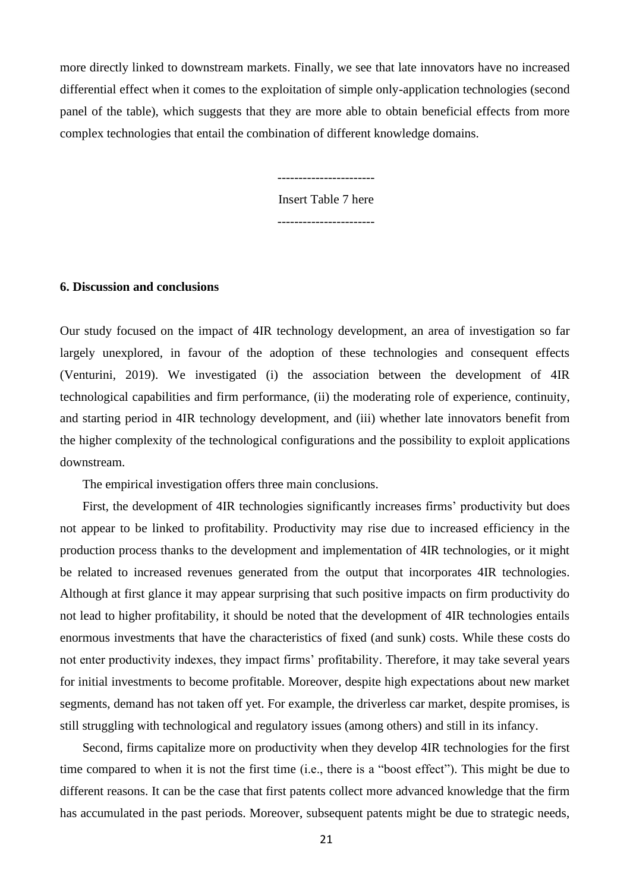more directly linked to downstream markets. Finally, we see that late innovators have no increased differential effect when it comes to the exploitation of simple only-application technologies (second panel of the table), which suggests that they are more able to obtain beneficial effects from more complex technologies that entail the combination of different knowledge domains.

> ----------------------- Insert Table 7 here

-----------------------

#### **6. Discussion and conclusions**

Our study focused on the impact of 4IR technology development, an area of investigation so far largely unexplored, in favour of the adoption of these technologies and consequent effects (Venturini, 2019). We investigated (i) the association between the development of 4IR technological capabilities and firm performance, (ii) the moderating role of experience, continuity, and starting period in 4IR technology development, and (iii) whether late innovators benefit from the higher complexity of the technological configurations and the possibility to exploit applications downstream.

The empirical investigation offers three main conclusions.

First, the development of 4IR technologies significantly increases firms' productivity but does not appear to be linked to profitability. Productivity may rise due to increased efficiency in the production process thanks to the development and implementation of 4IR technologies, or it might be related to increased revenues generated from the output that incorporates 4IR technologies. Although at first glance it may appear surprising that such positive impacts on firm productivity do not lead to higher profitability, it should be noted that the development of 4IR technologies entails enormous investments that have the characteristics of fixed (and sunk) costs. While these costs do not enter productivity indexes, they impact firms' profitability. Therefore, it may take several years for initial investments to become profitable. Moreover, despite high expectations about new market segments, demand has not taken off yet. For example, the driverless car market, despite promises, is still struggling with technological and regulatory issues (among others) and still in its infancy.

Second, firms capitalize more on productivity when they develop 4IR technologies for the first time compared to when it is not the first time (i.e., there is a "boost effect"). This might be due to different reasons. It can be the case that first patents collect more advanced knowledge that the firm has accumulated in the past periods. Moreover, subsequent patents might be due to strategic needs,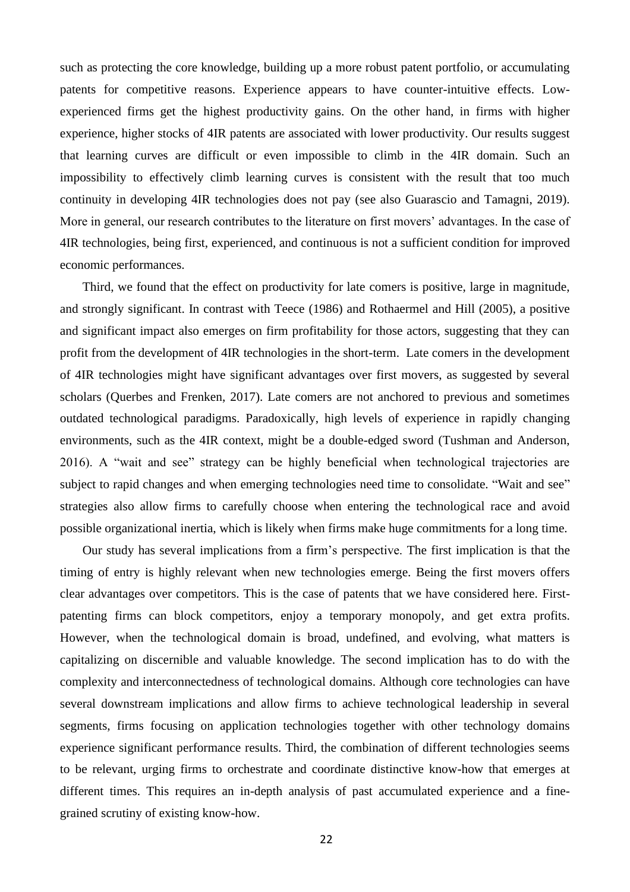such as protecting the core knowledge, building up a more robust patent portfolio, or accumulating patents for competitive reasons. Experience appears to have counter-intuitive effects. Lowexperienced firms get the highest productivity gains. On the other hand, in firms with higher experience, higher stocks of 4IR patents are associated with lower productivity. Our results suggest that learning curves are difficult or even impossible to climb in the 4IR domain. Such an impossibility to effectively climb learning curves is consistent with the result that too much continuity in developing 4IR technologies does not pay (see also Guarascio and Tamagni, 2019). More in general, our research contributes to the literature on first movers' advantages. In the case of 4IR technologies, being first, experienced, and continuous is not a sufficient condition for improved economic performances.

Third, we found that the effect on productivity for late comers is positive, large in magnitude, and strongly significant. In contrast with Teece (1986) and Rothaermel and Hill (2005), a positive and significant impact also emerges on firm profitability for those actors, suggesting that they can profit from the development of 4IR technologies in the short-term. Late comers in the development of 4IR technologies might have significant advantages over first movers, as suggested by several scholars (Querbes and Frenken, 2017). Late comers are not anchored to previous and sometimes outdated technological paradigms. Paradoxically, high levels of experience in rapidly changing environments, such as the 4IR context, might be a double-edged sword (Tushman and Anderson, 2016). A "wait and see" strategy can be highly beneficial when technological trajectories are subject to rapid changes and when emerging technologies need time to consolidate. "Wait and see" strategies also allow firms to carefully choose when entering the technological race and avoid possible organizational inertia, which is likely when firms make huge commitments for a long time.

Our study has several implications from a firm's perspective. The first implication is that the timing of entry is highly relevant when new technologies emerge. Being the first movers offers clear advantages over competitors. This is the case of patents that we have considered here. Firstpatenting firms can block competitors, enjoy a temporary monopoly, and get extra profits. However, when the technological domain is broad, undefined, and evolving, what matters is capitalizing on discernible and valuable knowledge. The second implication has to do with the complexity and interconnectedness of technological domains. Although core technologies can have several downstream implications and allow firms to achieve technological leadership in several segments, firms focusing on application technologies together with other technology domains experience significant performance results. Third, the combination of different technologies seems to be relevant, urging firms to orchestrate and coordinate distinctive know-how that emerges at different times. This requires an in-depth analysis of past accumulated experience and a finegrained scrutiny of existing know-how.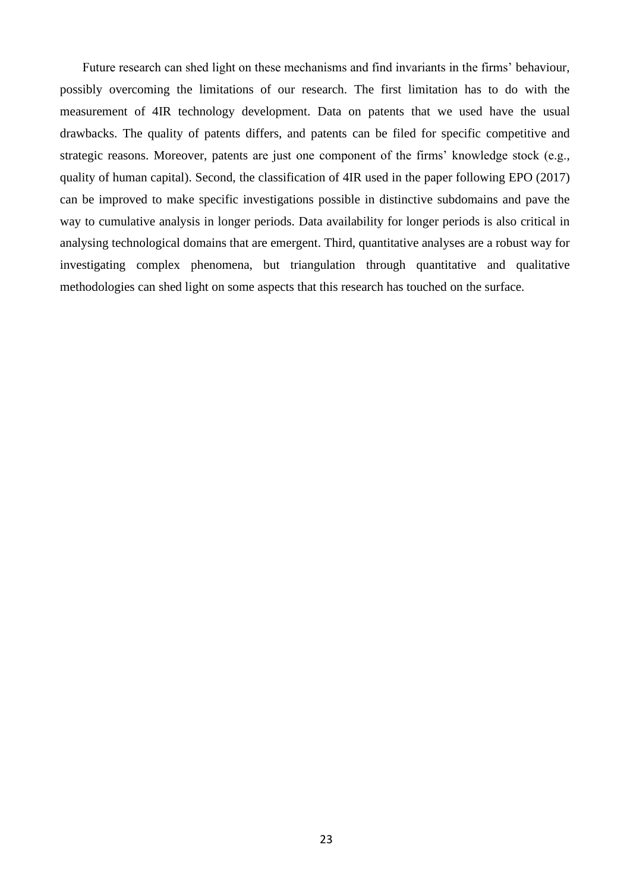Future research can shed light on these mechanisms and find invariants in the firms' behaviour, possibly overcoming the limitations of our research. The first limitation has to do with the measurement of 4IR technology development. Data on patents that we used have the usual drawbacks. The quality of patents differs, and patents can be filed for specific competitive and strategic reasons. Moreover, patents are just one component of the firms' knowledge stock (e.g., quality of human capital). Second, the classification of 4IR used in the paper following EPO (2017) can be improved to make specific investigations possible in distinctive subdomains and pave the way to cumulative analysis in longer periods. Data availability for longer periods is also critical in analysing technological domains that are emergent. Third, quantitative analyses are a robust way for investigating complex phenomena, but triangulation through quantitative and qualitative methodologies can shed light on some aspects that this research has touched on the surface.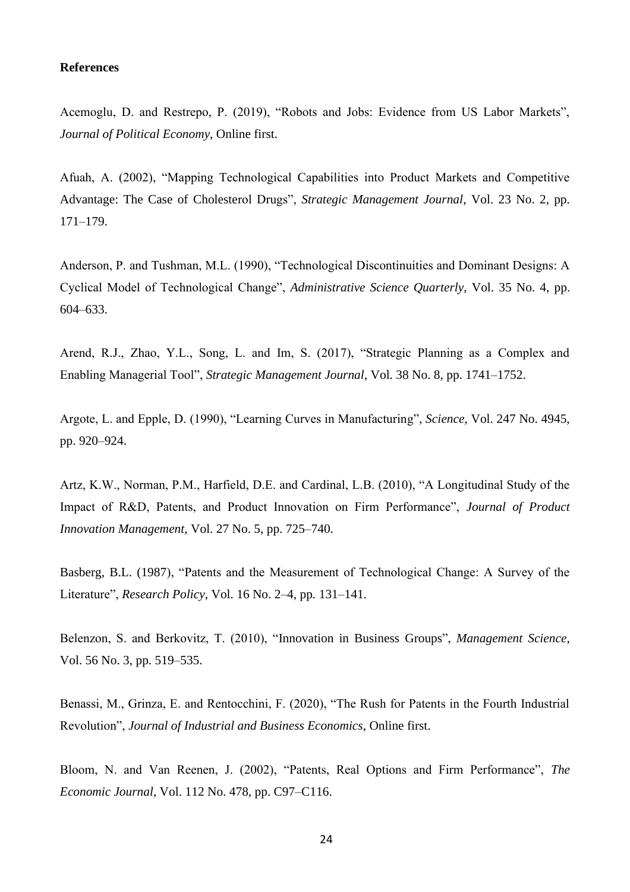#### **References**

Acemoglu, D. and Restrepo, P. (2019), "Robots and Jobs: Evidence from US Labor Markets", *Journal of Political Economy*, Online first.

Afuah, A. (2002), "Mapping Technological Capabilities into Product Markets and Competitive Advantage: The Case of Cholesterol Drugs", *Strategic Management Journal*, Vol. 23 No. 2, pp. 171–179.

Anderson, P. and Tushman, M.L. (1990), "Technological Discontinuities and Dominant Designs: A Cyclical Model of Technological Change", *Administrative Science Quarterly*, Vol. 35 No. 4, pp. 604–633.

Arend, R.J., Zhao, Y.L., Song, L. and Im, S. (2017), "Strategic Planning as a Complex and Enabling Managerial Tool", *Strategic Management Journal*, Vol. 38 No. 8, pp. 1741–1752.

Argote, L. and Epple, D. (1990), "Learning Curves in Manufacturing", *Science*, Vol. 247 No. 4945, pp. 920–924.

Artz, K.W., Norman, P.M., Harfield, D.E. and Cardinal, L.B. (2010), "A Longitudinal Study of the Impact of R&D, Patents, and Product Innovation on Firm Performance", *Journal of Product Innovation Management*, Vol. 27 No. 5, pp. 725–740.

Basberg, B.L. (1987), "Patents and the Measurement of Technological Change: A Survey of the Literature", *Research Policy*, Vol. 16 No. 2–4, pp. 131–141.

Belenzon, S. and Berkovitz, T. (2010), "Innovation in Business Groups", *Management Science*, Vol. 56 No. 3, pp. 519–535.

Benassi, M., Grinza, E. and Rentocchini, F. (2020), "The Rush for Patents in the Fourth Industrial Revolution", *Journal of Industrial and Business Economics*, Online first.

Bloom, N. and Van Reenen, J. (2002), "Patents, Real Options and Firm Performance", *The Economic Journal*, Vol. 112 No. 478, pp. C97–C116.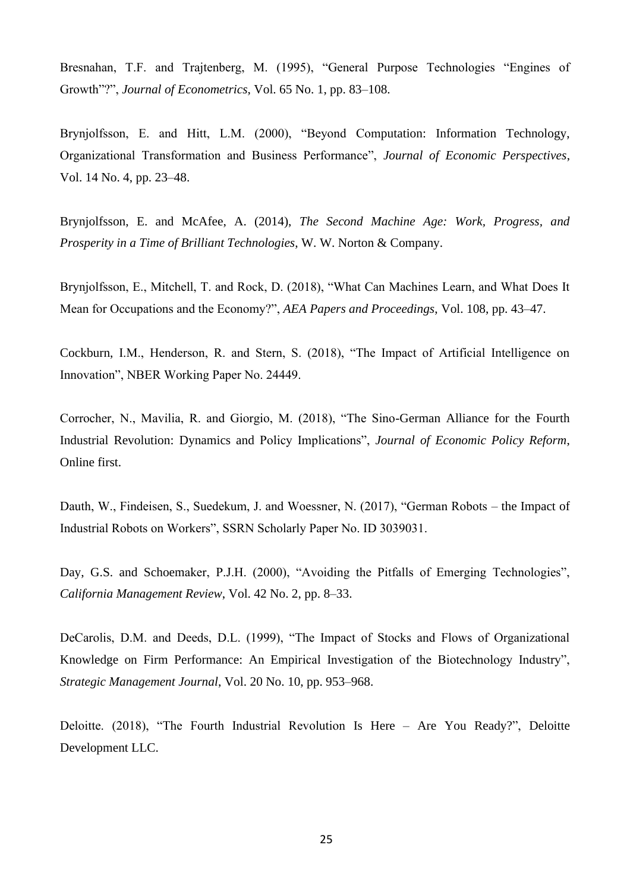Bresnahan, T.F. and Trajtenberg, M. (1995), "General Purpose Technologies "Engines of Growth"?", *Journal of Econometrics*, Vol. 65 No. 1, pp. 83–108.

Brynjolfsson, E. and Hitt, L.M. (2000), "Beyond Computation: Information Technology, Organizational Transformation and Business Performance", *Journal of Economic Perspectives*, Vol. 14 No. 4, pp. 23–48.

Brynjolfsson, E. and McAfee, A. (2014), *The Second Machine Age: Work, Progress, and Prosperity in a Time of Brilliant Technologies*, W. W. Norton & Company.

Brynjolfsson, E., Mitchell, T. and Rock, D. (2018), "What Can Machines Learn, and What Does It Mean for Occupations and the Economy?", *AEA Papers and Proceedings*, Vol. 108, pp. 43–47.

Cockburn, I.M., Henderson, R. and Stern, S. (2018), "The Impact of Artificial Intelligence on Innovation", NBER Working Paper No. 24449.

Corrocher, N., Mavilia, R. and Giorgio, M. (2018), "The Sino-German Alliance for the Fourth Industrial Revolution: Dynamics and Policy Implications", *Journal of Economic Policy Reform*, Online first.

Dauth, W., Findeisen, S., Suedekum, J. and Woessner, N. (2017), "German Robots – the Impact of Industrial Robots on Workers", SSRN Scholarly Paper No. ID 3039031.

Day, G.S. and Schoemaker, P.J.H. (2000), "Avoiding the Pitfalls of Emerging Technologies", *California Management Review*, Vol. 42 No. 2, pp. 8–33.

DeCarolis, D.M. and Deeds, D.L. (1999), "The Impact of Stocks and Flows of Organizational Knowledge on Firm Performance: An Empirical Investigation of the Biotechnology Industry", *Strategic Management Journal*, Vol. 20 No. 10, pp. 953–968.

Deloitte. (2018), "The Fourth Industrial Revolution Is Here – Are You Ready?", Deloitte Development LLC.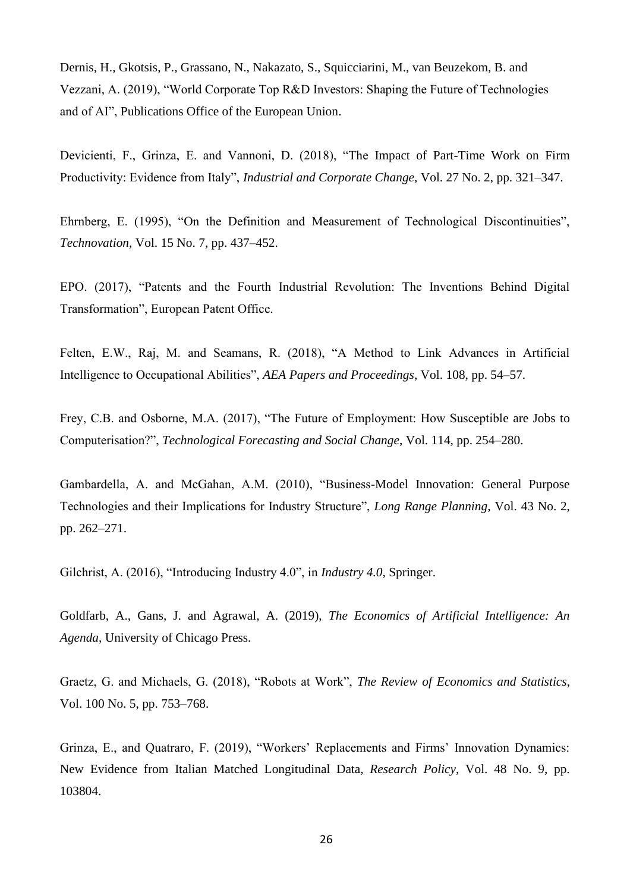Dernis, H., Gkotsis, P., Grassano, N., Nakazato, S., Squicciarini, M., van Beuzekom, B. and Vezzani, A. (2019), "World Corporate Top R&D Investors: Shaping the Future of Technologies and of AI", Publications Office of the European Union.

Devicienti, F., Grinza, E. and Vannoni, D. (2018), "The Impact of Part-Time Work on Firm Productivity: Evidence from Italy", *Industrial and Corporate Change*, Vol. 27 No. 2, pp. 321–347.

Ehrnberg, E. (1995), "On the Definition and Measurement of Technological Discontinuities", *Technovation*, Vol. 15 No. 7, pp. 437–452.

EPO. (2017), "Patents and the Fourth Industrial Revolution: The Inventions Behind Digital Transformation", European Patent Office.

Felten, E.W., Raj, M. and Seamans, R. (2018), "A Method to Link Advances in Artificial Intelligence to Occupational Abilities", *AEA Papers and Proceedings*, Vol. 108, pp. 54–57.

Frey, C.B. and Osborne, M.A. (2017), "The Future of Employment: How Susceptible are Jobs to Computerisation?", *Technological Forecasting and Social Change*, Vol. 114, pp. 254–280.

Gambardella, A. and McGahan, A.M. (2010), "Business-Model Innovation: General Purpose Technologies and their Implications for Industry Structure", *Long Range Planning*, Vol. 43 No. 2, pp. 262–271.

Gilchrist, A. (2016), "Introducing Industry 4.0", in *Industry 4.0*, Springer.

Goldfarb, A., Gans, J. and Agrawal, A. (2019), *The Economics of Artificial Intelligence: An Agenda*, University of Chicago Press.

Graetz, G. and Michaels, G. (2018), "Robots at Work", *The Review of Economics and Statistics*, Vol. 100 No. 5, pp. 753–768.

Grinza, E., and Quatraro, F. (2019), "Workers' Replacements and Firms' Innovation Dynamics: New Evidence from Italian Matched Longitudinal Data, *Research Policy*, Vol. 48 No. 9, pp. 103804.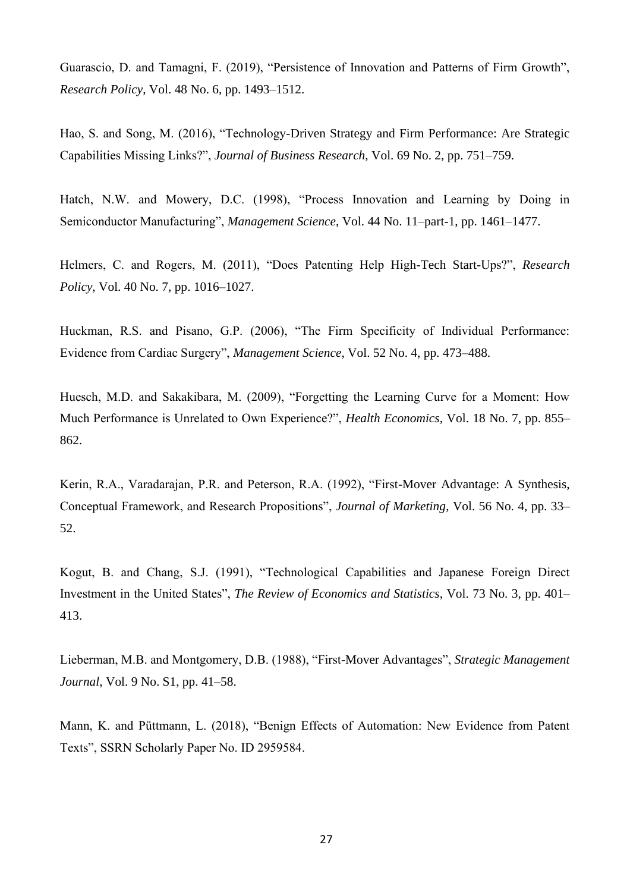Guarascio, D. and Tamagni, F. (2019), "Persistence of Innovation and Patterns of Firm Growth", *Research Policy*, Vol. 48 No. 6, pp. 1493–1512.

Hao, S. and Song, M. (2016), "Technology-Driven Strategy and Firm Performance: Are Strategic Capabilities Missing Links?", *Journal of Business Research*, Vol. 69 No. 2, pp. 751–759.

Hatch, N.W. and Mowery, D.C. (1998), "Process Innovation and Learning by Doing in Semiconductor Manufacturing", *Management Science*, Vol. 44 No. 11–part-1, pp. 1461–1477.

Helmers, C. and Rogers, M. (2011), "Does Patenting Help High-Tech Start-Ups?", *Research Policy*, Vol. 40 No. 7, pp. 1016–1027.

Huckman, R.S. and Pisano, G.P. (2006), "The Firm Specificity of Individual Performance: Evidence from Cardiac Surgery", *Management Science*, Vol. 52 No. 4, pp. 473–488.

Huesch, M.D. and Sakakibara, M. (2009), "Forgetting the Learning Curve for a Moment: How Much Performance is Unrelated to Own Experience?", *Health Economics*, Vol. 18 No. 7, pp. 855– 862.

Kerin, R.A., Varadarajan, P.R. and Peterson, R.A. (1992), "First-Mover Advantage: A Synthesis, Conceptual Framework, and Research Propositions", *Journal of Marketing*, Vol. 56 No. 4, pp. 33– 52.

Kogut, B. and Chang, S.J. (1991), "Technological Capabilities and Japanese Foreign Direct Investment in the United States", *The Review of Economics and Statistics*, Vol. 73 No. 3, pp. 401– 413.

Lieberman, M.B. and Montgomery, D.B. (1988), "First-Mover Advantages", *Strategic Management Journal*, Vol. 9 No. S1, pp. 41–58.

Mann, K. and Püttmann, L. (2018), "Benign Effects of Automation: New Evidence from Patent Texts", SSRN Scholarly Paper No. ID 2959584.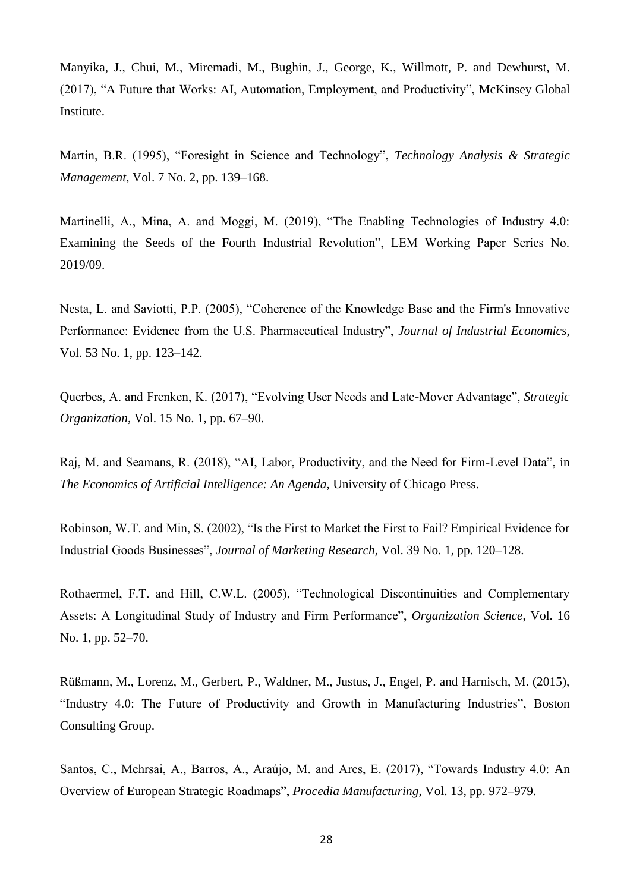Manyika, J., Chui, M., Miremadi, M., Bughin, J., George, K., Willmott, P. and Dewhurst, M. (2017), "A Future that Works: AI, Automation, Employment, and Productivity", McKinsey Global Institute.

Martin, B.R. (1995), "Foresight in Science and Technology", *Technology Analysis & Strategic Management*, Vol. 7 No. 2, pp. 139–168.

Martinelli, A., Mina, A. and Moggi, M. (2019), "The Enabling Technologies of Industry 4.0: Examining the Seeds of the Fourth Industrial Revolution", LEM Working Paper Series No. 2019/09.

Nesta, L. and Saviotti, P.P. (2005), "Coherence of the Knowledge Base and the Firm's Innovative Performance: Evidence from the U.S. Pharmaceutical Industry", *Journal of Industrial Economics*, Vol. 53 No. 1, pp. 123–142.

Querbes, A. and Frenken, K. (2017), "Evolving User Needs and Late-Mover Advantage", *Strategic Organization*, Vol. 15 No. 1, pp. 67–90.

Raj, M. and Seamans, R. (2018), "AI, Labor, Productivity, and the Need for Firm-Level Data", in *The Economics of Artificial Intelligence: An Agenda*, University of Chicago Press.

Robinson, W.T. and Min, S. (2002), "Is the First to Market the First to Fail? Empirical Evidence for Industrial Goods Businesses", *Journal of Marketing Research*, Vol. 39 No. 1, pp. 120–128.

Rothaermel, F.T. and Hill, C.W.L. (2005), "Technological Discontinuities and Complementary Assets: A Longitudinal Study of Industry and Firm Performance", *Organization Science*, Vol. 16 No. 1, pp. 52–70.

Rüßmann, M., Lorenz, M., Gerbert, P., Waldner, M., Justus, J., Engel, P. and Harnisch, M. (2015), "Industry 4.0: The Future of Productivity and Growth in Manufacturing Industries", Boston Consulting Group.

Santos, C., Mehrsai, A., Barros, A., Araújo, M. and Ares, E. (2017), "Towards Industry 4.0: An Overview of European Strategic Roadmaps", *Procedia Manufacturing*, Vol. 13, pp. 972–979.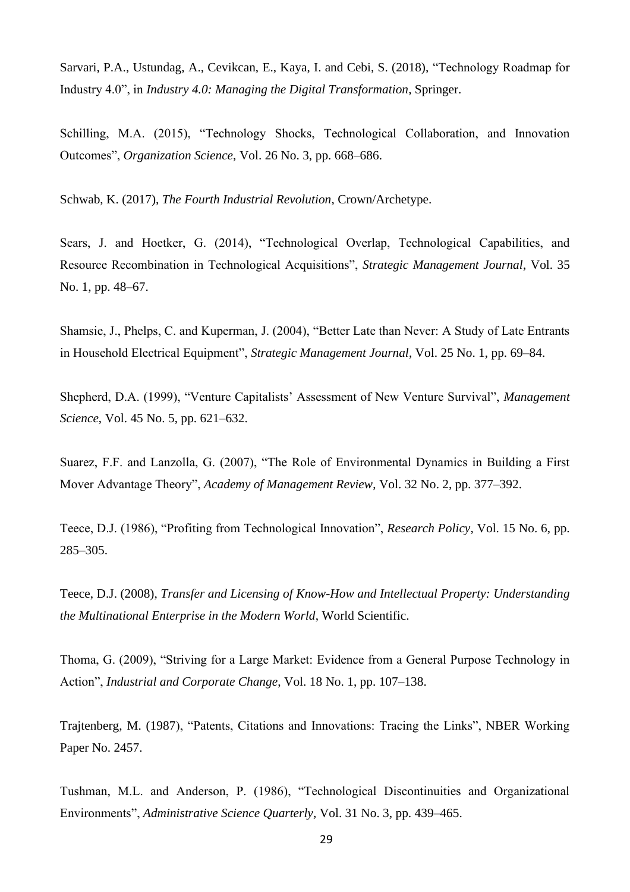Sarvari, P.A., Ustundag, A., Cevikcan, E., Kaya, I. and Cebi, S. (2018), "Technology Roadmap for Industry 4.0", in *Industry 4.0: Managing the Digital Transformation*, Springer.

Schilling, M.A. (2015), "Technology Shocks, Technological Collaboration, and Innovation Outcomes", *Organization Science*, Vol. 26 No. 3, pp. 668–686.

Schwab, K. (2017), *The Fourth Industrial Revolution*, Crown/Archetype.

Sears, J. and Hoetker, G. (2014), "Technological Overlap, Technological Capabilities, and Resource Recombination in Technological Acquisitions", *Strategic Management Journal*, Vol. 35 No. 1, pp. 48–67.

Shamsie, J., Phelps, C. and Kuperman, J. (2004), "Better Late than Never: A Study of Late Entrants in Household Electrical Equipment", *Strategic Management Journal*, Vol. 25 No. 1, pp. 69–84.

Shepherd, D.A. (1999), "Venture Capitalists' Assessment of New Venture Survival", *Management Science*, Vol. 45 No. 5, pp. 621–632.

Suarez, F.F. and Lanzolla, G. (2007), "The Role of Environmental Dynamics in Building a First Mover Advantage Theory", *Academy of Management Review*, Vol. 32 No. 2, pp. 377–392.

Teece, D.J. (1986), "Profiting from Technological Innovation", *Research Policy*, Vol. 15 No. 6, pp. 285–305.

Teece, D.J. (2008), *Transfer and Licensing of Know-How and Intellectual Property: Understanding the Multinational Enterprise in the Modern World*, World Scientific.

Thoma, G. (2009), "Striving for a Large Market: Evidence from a General Purpose Technology in Action", *Industrial and Corporate Change*, Vol. 18 No. 1, pp. 107–138.

Trajtenberg, M. (1987), "Patents, Citations and Innovations: Tracing the Links", NBER Working Paper No. 2457.

Tushman, M.L. and Anderson, P. (1986), "Technological Discontinuities and Organizational Environments", *Administrative Science Quarterly*, Vol. 31 No. 3, pp. 439–465.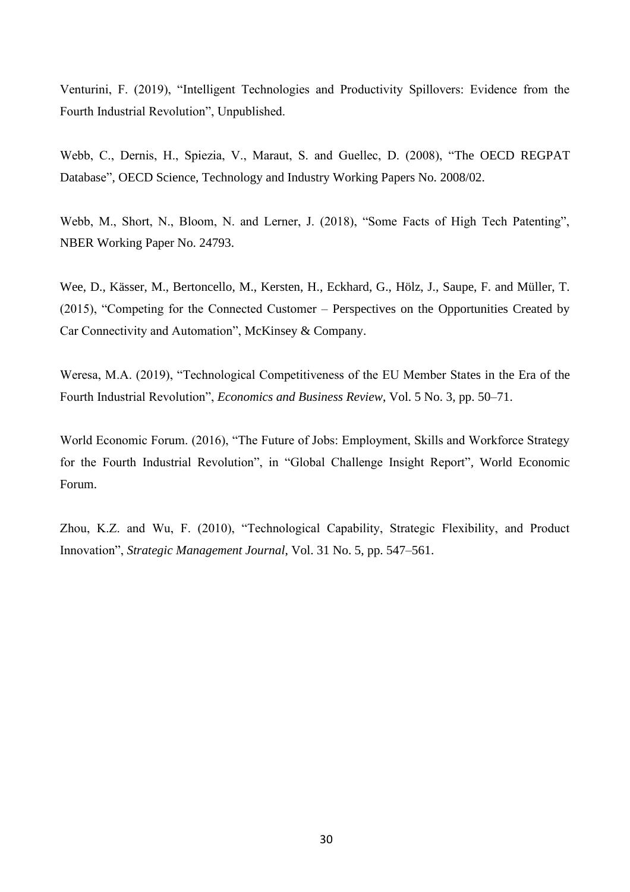Venturini, F. (2019), "Intelligent Technologies and Productivity Spillovers: Evidence from the Fourth Industrial Revolution", Unpublished.

Webb, C., Dernis, H., Spiezia, V., Maraut, S. and Guellec, D. (2008), "The OECD REGPAT Database", OECD Science, Technology and Industry Working Papers No. 2008/02.

Webb, M., Short, N., Bloom, N. and Lerner, J. (2018), "Some Facts of High Tech Patenting", NBER Working Paper No. 24793.

Wee, D., Kässer, M., Bertoncello, M., Kersten, H., Eckhard, G., Hölz, J., Saupe, F. and Müller, T. (2015), "Competing for the Connected Customer – Perspectives on the Opportunities Created by Car Connectivity and Automation", McKinsey & Company.

Weresa, M.A. (2019), "Technological Competitiveness of the EU Member States in the Era of the Fourth Industrial Revolution", *Economics and Business Review*, Vol. 5 No. 3, pp. 50–71.

World Economic Forum. (2016), "The Future of Jobs: Employment, Skills and Workforce Strategy for the Fourth Industrial Revolution", in "Global Challenge Insight Report"*,* World Economic Forum.

Zhou, K.Z. and Wu, F. (2010), "Technological Capability, Strategic Flexibility, and Product Innovation", *Strategic Management Journal*, Vol. 31 No. 5, pp. 547–561.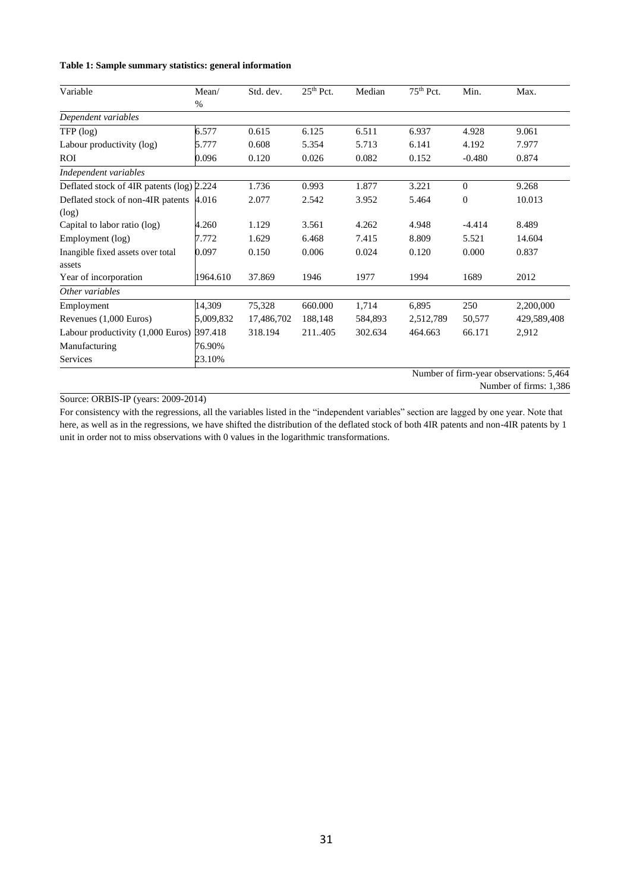#### **Table 1: Sample summary statistics: general information**

| Variable                                  | Mean/     | Std. dev.  | $25th$ Pct. | Median  | 75 <sup>th</sup> Pct. | Min.                          | Max.                |
|-------------------------------------------|-----------|------------|-------------|---------|-----------------------|-------------------------------|---------------------|
|                                           | %         |            |             |         |                       |                               |                     |
| Dependent variables                       |           |            |             |         |                       |                               |                     |
| TFP (log)                                 | 6.577     | 0.615      | 6.125       | 6.511   | 6.937                 | 4.928                         | 9.061               |
| Labour productivity (log)                 | 5.777     | 0.608      | 5.354       | 5.713   | 6.141                 | 4.192                         | 7.977               |
| ROI                                       | 0.096     | 0.120      | 0.026       | 0.082   | 0.152                 | $-0.480$                      | 0.874               |
| Independent variables                     |           |            |             |         |                       |                               |                     |
| Deflated stock of 4IR patents (log) 2.224 |           | 1.736      | 0.993       | 1.877   | 3.221                 | $\Omega$                      | 9.268               |
| Deflated stock of non-4IR patents         | 4.016     | 2.077      | 2.542       | 3.952   | 5.464                 | $\mathbf{0}$                  | 10.013              |
| (log)                                     |           |            |             |         |                       |                               |                     |
| Capital to labor ratio (log)              | 4.260     | 1.129      | 3.561       | 4.262   | 4.948                 | $-4.414$                      | 8.489               |
| Employment (log)                          | 7.772     | 1.629      | 6.468       | 7.415   | 8.809                 | 5.521                         | 14.604              |
| Inangible fixed assets over total         | 0.097     | 0.150      | 0.006       | 0.024   | 0.120                 | 0.000                         | 0.837               |
| assets                                    |           |            |             |         |                       |                               |                     |
| Year of incorporation                     | 1964.610  | 37.869     | 1946        | 1977    | 1994                  | 1689                          | 2012                |
| Other variables                           |           |            |             |         |                       |                               |                     |
| Employment                                | 14,309    | 75,328     | 660.000     | 1,714   | 6,895                 | 250                           | 2,200,000           |
| Revenues (1,000 Euros)                    | 5,009,832 | 17,486,702 | 188,148     | 584,893 | 2,512,789             | 50,577                        | 429,589,408         |
| Labour productivity (1,000 Euros)         | 397.418   | 318.194    | 211.405     | 302.634 | 464.663               | 66.171                        | 2,912               |
| Manufacturing                             | 76.90%    |            |             |         |                       |                               |                     |
| Services                                  | 23.10%    |            |             |         | $\mathbf{X}$          | $\sim$ $\sim$<br>$\mathbf{I}$ | $\cdot$ .<br>$-1/1$ |

Number of firm-year observations: 5,464

Number of firms: 1,386

#### Source: ORBIS-IP (years: 2009-2014)

For consistency with the regressions, all the variables listed in the "independent variables" section are lagged by one year. Note that here, as well as in the regressions, we have shifted the distribution of the deflated stock of both 4IR patents and non-4IR patents by 1 unit in order not to miss observations with 0 values in the logarithmic transformations.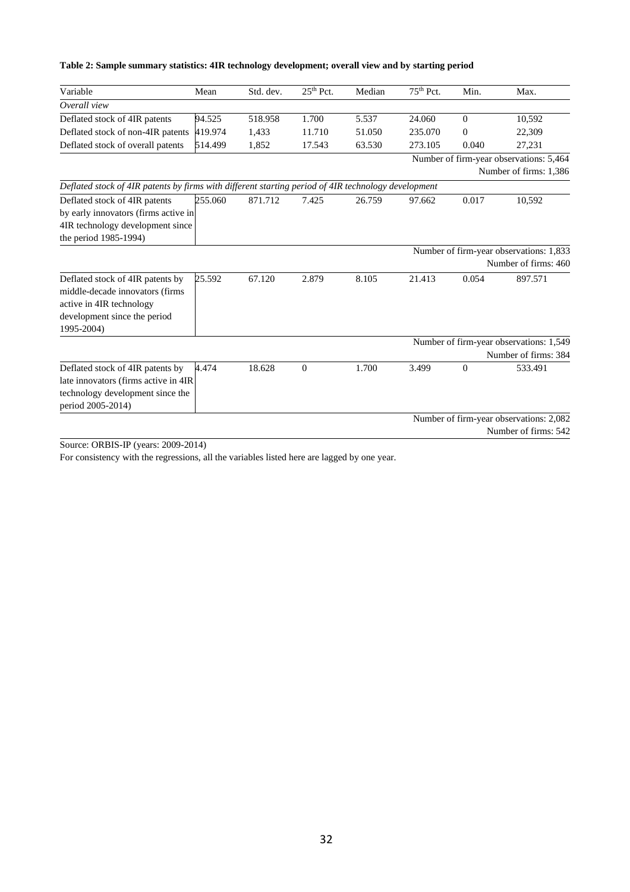| Variable                                                                                            | Mean    | Std. dev. | $25th$ Pct.  | Median | $75th$ Pct. | Min.           | Max.                                    |
|-----------------------------------------------------------------------------------------------------|---------|-----------|--------------|--------|-------------|----------------|-----------------------------------------|
| Overall view                                                                                        |         |           |              |        |             |                |                                         |
| Deflated stock of 4IR patents                                                                       | 94.525  | 518.958   | 1.700        | 5.537  | 24.060      | $\overline{0}$ | 10,592                                  |
| Deflated stock of non-4IR patents                                                                   | 419.974 | 1,433     | 11.710       | 51.050 | 235.070     | $\mathbf{0}$   | 22,309                                  |
| Deflated stock of overall patents                                                                   | 514.499 | 1,852     | 17.543       | 63.530 | 273.105     | 0.040          | 27,231                                  |
|                                                                                                     |         |           |              |        |             |                | Number of firm-year observations: 5,464 |
|                                                                                                     |         |           |              |        |             |                | Number of firms: 1,386                  |
| Deflated stock of 4IR patents by firms with different starting period of 4IR technology development |         |           |              |        |             |                |                                         |
| Deflated stock of 4IR patents                                                                       | 255.060 | 871.712   | 7.425        | 26.759 | 97.662      | 0.017          | 10,592                                  |
| by early innovators (firms active in                                                                |         |           |              |        |             |                |                                         |
| 4IR technology development since                                                                    |         |           |              |        |             |                |                                         |
| the period 1985-1994)                                                                               |         |           |              |        |             |                |                                         |
|                                                                                                     |         |           |              |        |             |                | Number of firm-year observations: 1,833 |
|                                                                                                     |         |           |              |        |             |                | Number of firms: 460                    |
| Deflated stock of 4IR patents by                                                                    | 25.592  | 67.120    | 2.879        | 8.105  | 21.413      | 0.054          | 897.571                                 |
| middle-decade innovators (firms                                                                     |         |           |              |        |             |                |                                         |
| active in 4IR technology                                                                            |         |           |              |        |             |                |                                         |
| development since the period                                                                        |         |           |              |        |             |                |                                         |
| 1995-2004)                                                                                          |         |           |              |        |             |                |                                         |
|                                                                                                     |         |           |              |        |             |                | Number of firm-year observations: 1,549 |
|                                                                                                     |         |           |              |        |             |                | Number of firms: 384                    |
| Deflated stock of 4IR patents by                                                                    | 4.474   | 18.628    | $\mathbf{0}$ | 1.700  | 3.499       | $\Omega$       | 533.491                                 |
| late innovators (firms active in 4IR                                                                |         |           |              |        |             |                |                                         |
| technology development since the                                                                    |         |           |              |        |             |                |                                         |
| period 2005-2014)                                                                                   |         |           |              |        |             |                |                                         |
|                                                                                                     |         |           |              |        |             |                | Number of firm-year observations: 2,082 |
|                                                                                                     |         |           |              |        |             |                | Number of firms: 542                    |

#### **Table 2: Sample summary statistics: 4IR technology development; overall view and by starting period**

Source: ORBIS-IP (years: 2009-2014)

For consistency with the regressions, all the variables listed here are lagged by one year.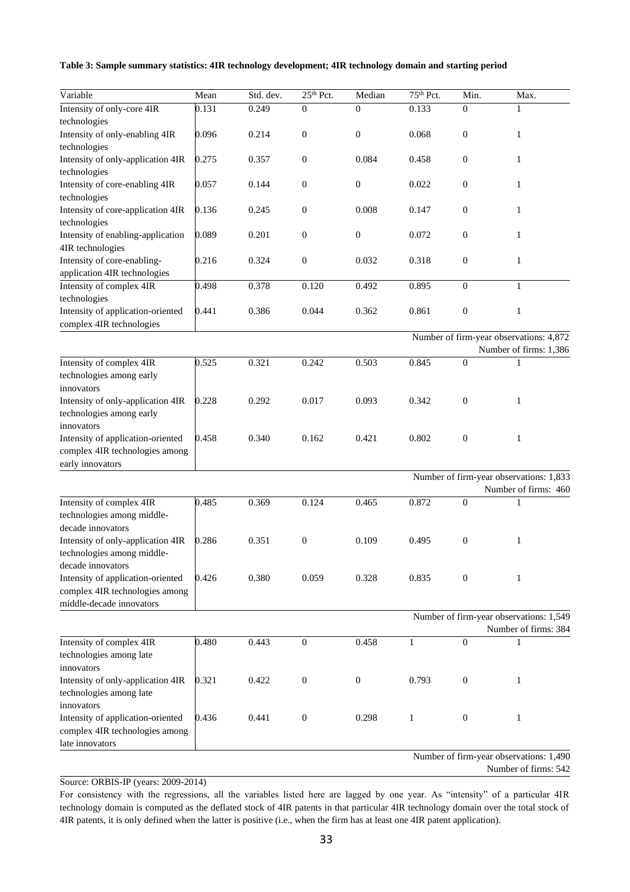| Table 3: Sample summary statistics: 4IR technology development; 4IR technology domain and starting period |  |  |  |
|-----------------------------------------------------------------------------------------------------------|--|--|--|
|-----------------------------------------------------------------------------------------------------------|--|--|--|

| Variable                                          | Mean  | Std. dev. | 25 <sup>th</sup> Pct. | Median           | 75 <sup>th</sup> Pct. | Min.             | Max.                                    |
|---------------------------------------------------|-------|-----------|-----------------------|------------------|-----------------------|------------------|-----------------------------------------|
| Intensity of only-core 4IR                        | 0.131 | 0.249     | $\mathbf{0}$          | $\boldsymbol{0}$ | 0.133                 | $\mathbf{0}$     | $\mathbf{1}$                            |
| technologies                                      |       |           |                       |                  |                       |                  |                                         |
| Intensity of only-enabling 4IR                    | 0.096 | 0.214     | $\boldsymbol{0}$      | $\boldsymbol{0}$ | 0.068                 | $\boldsymbol{0}$ | $\mathbf{1}$                            |
| technologies                                      |       |           |                       |                  |                       |                  |                                         |
| Intensity of only-application 4IR                 | 0.275 | 0.357     | $\boldsymbol{0}$      | 0.084            | 0.458                 | $\boldsymbol{0}$ | $\mathbf{1}$                            |
| technologies                                      |       |           |                       |                  |                       |                  |                                         |
| Intensity of core-enabling 4IR                    | 0.057 | 0.144     | $\boldsymbol{0}$      | 0                | 0.022                 | $\boldsymbol{0}$ | $\mathbf{1}$                            |
| technologies                                      |       |           |                       |                  |                       |                  |                                         |
| Intensity of core-application 4IR                 | 0.136 | 0.245     | $\boldsymbol{0}$      | 0.008            | 0.147                 | $\boldsymbol{0}$ | $\mathbf{1}$                            |
| technologies                                      |       |           |                       |                  |                       |                  |                                         |
| Intensity of enabling-application                 | 0.089 | 0.201     | $\mathbf{0}$          | $\mathbf{0}$     | 0.072                 | $\boldsymbol{0}$ | $\mathbf{1}$                            |
| 4IR technologies                                  |       |           |                       |                  |                       |                  |                                         |
| Intensity of core-enabling-                       | 0.216 | 0.324     | $\boldsymbol{0}$      | 0.032            | 0.318                 | $\boldsymbol{0}$ | $\mathbf{1}$                            |
| application 4IR technologies                      |       |           |                       |                  |                       |                  |                                         |
| Intensity of complex 4IR                          | 0.498 | 0.378     | 0.120                 | 0.492            | 0.895                 | $\mathbf{0}$     | $\mathbf{1}$                            |
| technologies                                      |       |           |                       |                  |                       |                  |                                         |
| Intensity of application-oriented                 | 0.441 | 0.386     | 0.044                 | 0.362            | 0.861                 | $\boldsymbol{0}$ | $\mathbf{1}$                            |
| complex 4IR technologies                          |       |           |                       |                  |                       |                  |                                         |
|                                                   |       |           |                       |                  |                       |                  | Number of firm-year observations: 4,872 |
|                                                   |       |           |                       |                  |                       |                  | Number of firms: 1,386                  |
| Intensity of complex 4IR                          | 0.525 | 0.321     | 0.242                 | 0.503            | 0.845                 | $\boldsymbol{0}$ | 1                                       |
| technologies among early                          |       |           |                       |                  |                       |                  |                                         |
| innovators                                        |       |           |                       |                  |                       |                  |                                         |
| Intensity of only-application 4IR                 | 0.228 | 0.292     | 0.017                 | 0.093            | 0.342                 | $\boldsymbol{0}$ | $\mathbf{1}$                            |
| technologies among early                          |       |           |                       |                  |                       |                  |                                         |
| innovators                                        |       |           |                       |                  |                       |                  |                                         |
| Intensity of application-oriented                 | 0.458 | 0.340     | 0.162                 | 0.421            | 0.802                 | $\boldsymbol{0}$ | $\mathbf{1}$                            |
| complex 4IR technologies among                    |       |           |                       |                  |                       |                  |                                         |
| early innovators                                  |       |           |                       |                  |                       |                  |                                         |
|                                                   |       |           |                       |                  |                       |                  | Number of firm-year observations: 1,833 |
|                                                   |       |           |                       |                  |                       |                  | Number of firms: 460                    |
| Intensity of complex 4IR                          | 0.485 | 0.369     | 0.124                 | 0.465            | 0.872                 | $\mathbf{0}$     | 1                                       |
| technologies among middle-                        |       |           |                       |                  |                       |                  |                                         |
| decade innovators                                 |       |           |                       |                  |                       |                  |                                         |
| Intensity of only-application 4IR                 | 0.286 | 0.351     | $\boldsymbol{0}$      | 0.109            | 0.495                 | $\boldsymbol{0}$ | $\mathbf{1}$                            |
| technologies among middle-                        |       |           |                       |                  |                       |                  |                                         |
| decade innovators                                 |       |           |                       |                  |                       |                  |                                         |
| Intensity of application-oriented                 | 0.426 | 0.380     | 0.059                 | 0.328            | 0.835                 | $\boldsymbol{0}$ | 1                                       |
| complex 4IR technologies among                    |       |           |                       |                  |                       |                  |                                         |
| middle-decade innovators                          |       |           |                       |                  |                       |                  |                                         |
|                                                   |       |           |                       |                  |                       |                  | Number of firm-year observations: 1,549 |
| Intensity of complex 4IR                          | 0.480 | 0.443     | $\overline{0}$        | 0.458            | 1                     | $\mathbf{0}$     | Number of firms: 384<br>1               |
| technologies among late                           |       |           |                       |                  |                       |                  |                                         |
| innovators                                        |       |           |                       |                  |                       |                  |                                         |
|                                                   | 0.321 |           | $\mathbf{0}$          |                  | 0.793                 | $\boldsymbol{0}$ | $\mathbf{1}$                            |
| Intensity of only-application 4IR                 |       | 0.422     |                       | $\boldsymbol{0}$ |                       |                  |                                         |
| technologies among late<br>innovators             |       |           |                       |                  |                       |                  |                                         |
|                                                   | 0.436 |           |                       |                  |                       |                  |                                         |
| Intensity of application-oriented                 |       | 0.441     | $\boldsymbol{0}$      | 0.298            | $\mathbf{1}$          | $\boldsymbol{0}$ | $\mathbf{1}$                            |
| complex 4IR technologies among<br>late innovators |       |           |                       |                  |                       |                  |                                         |
|                                                   |       |           |                       |                  |                       |                  | Number of firm-year observations: 1,490 |
|                                                   |       |           |                       |                  |                       |                  | Number of firms: 542                    |

Source: ORBIS-IP (years: 2009-2014)

For consistency with the regressions, all the variables listed here are lagged by one year. As "intensity" of a particular 4IR technology domain is computed as the deflated stock of 4IR patents in that particular 4IR technology domain over the total stock of 4IR patents, it is only defined when the latter is positive (i.e., when the firm has at least one 4IR patent application).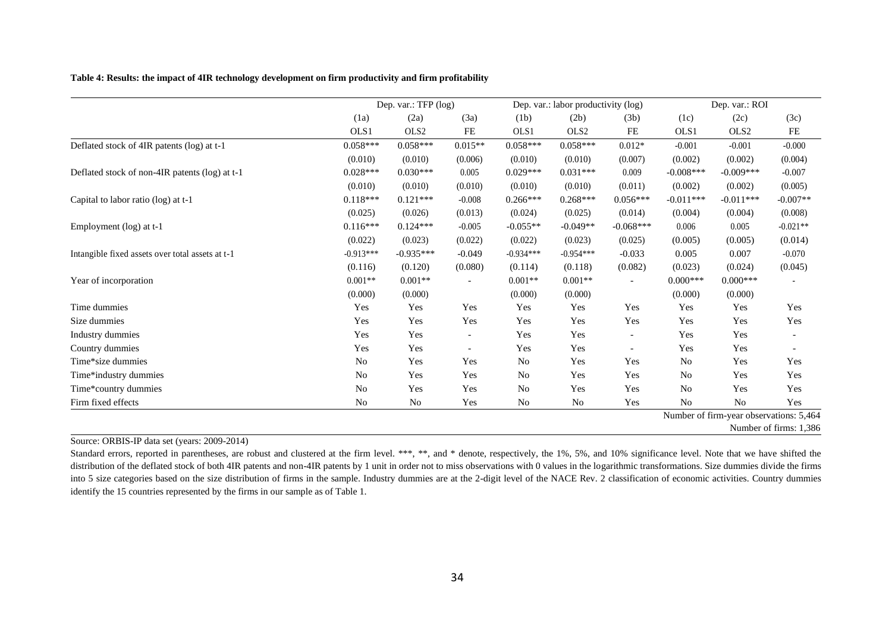**Table 4: Results: the impact of 4IR technology development on firm productivity and firm profitability**

|                                                  |             | Dep. var.: TFP (log) |           | Dep. var.: labor productivity (log) |                  |                          | Dep. var.: ROI |                  |                                         |
|--------------------------------------------------|-------------|----------------------|-----------|-------------------------------------|------------------|--------------------------|----------------|------------------|-----------------------------------------|
|                                                  | (1a)        | (2a)                 | (3a)      | (1b)                                | (2b)             | (3b)                     | (1c)           | (2c)             | (3c)                                    |
|                                                  | OLS1        | OLS <sub>2</sub>     | FE        | OLS1                                | OLS <sub>2</sub> | $\rm FE$                 | OLS1           | OLS <sub>2</sub> | $\rm FE$                                |
| Deflated stock of 4IR patents (log) at t-1       | $0.058***$  | $0.058***$           | $0.015**$ | $0.058***$                          | $0.058***$       | $0.012*$                 | $-0.001$       | $-0.001$         | $-0.000$                                |
|                                                  | (0.010)     | (0.010)              | (0.006)   | (0.010)                             | (0.010)          | (0.007)                  | (0.002)        | (0.002)          | (0.004)                                 |
| Deflated stock of non-4IR patents (log) at t-1   | $0.028***$  | $0.030***$           | 0.005     | $0.029***$                          | $0.031***$       | 0.009                    | $-0.008***$    | $-0.009***$      | $-0.007$                                |
|                                                  | (0.010)     | (0.010)              | (0.010)   | (0.010)                             | (0.010)          | (0.011)                  | (0.002)        | (0.002)          | (0.005)                                 |
| Capital to labor ratio (log) at t-1              | $0.118***$  | $0.121***$           | $-0.008$  | $0.266***$                          | $0.268***$       | $0.056***$               | $-0.011***$    | $-0.011***$      | $-0.007**$                              |
|                                                  | (0.025)     | (0.026)              | (0.013)   | (0.024)                             | (0.025)          | (0.014)                  | (0.004)        | (0.004)          | (0.008)                                 |
| Employment (log) at t-1                          | $0.116***$  | $0.124***$           | $-0.005$  | $-0.055**$                          | $-0.049**$       | $-0.068***$              | 0.006          | 0.005            | $-0.021**$                              |
|                                                  | (0.022)     | (0.023)              | (0.022)   | (0.022)                             | (0.023)          | (0.025)                  | (0.005)        | (0.005)          | (0.014)                                 |
| Intangible fixed assets over total assets at t-1 | $-0.913***$ | $-0.935***$          | $-0.049$  | $-0.934***$                         | $-0.954***$      | $-0.033$                 | 0.005          | 0.007            | $-0.070$                                |
|                                                  | (0.116)     | (0.120)              | (0.080)   | (0.114)                             | (0.118)          | (0.082)                  | (0.023)        | (0.024)          | (0.045)                                 |
| Year of incorporation                            | $0.001**$   | $0.001**$            |           | $0.001**$                           | $0.001**$        | $\overline{\phantom{a}}$ | $0.000***$     | $0.000***$       |                                         |
|                                                  | (0.000)     | (0.000)              |           | (0.000)                             | (0.000)          |                          | (0.000)        | (0.000)          |                                         |
| Time dummies                                     | Yes         | Yes                  | Yes       | Yes                                 | Yes              | Yes                      | Yes            | Yes              | Yes                                     |
| Size dummies                                     | Yes         | Yes                  | Yes       | Yes                                 | Yes              | Yes                      | Yes            | Yes              | Yes                                     |
| Industry dummies                                 | Yes         | Yes                  |           | Yes                                 | Yes              | $\overline{\phantom{0}}$ | Yes            | Yes              |                                         |
| Country dummies                                  | Yes         | Yes                  |           | Yes                                 | Yes              | $\overline{\phantom{a}}$ | Yes            | Yes              |                                         |
| Time*size dummies                                | <b>No</b>   | Yes                  | Yes       | N <sub>0</sub>                      | Yes              | Yes                      | N <sub>o</sub> | Yes              | Yes                                     |
| Time*industry dummies                            | No          | Yes                  | Yes       | N <sub>0</sub>                      | Yes              | Yes                      | No             | Yes              | Yes                                     |
| Time*country dummies                             | <b>No</b>   | Yes                  | Yes       | No                                  | Yes              | Yes                      | N <sub>o</sub> | Yes              | Yes                                     |
| Firm fixed effects                               | <b>No</b>   | N <sub>0</sub>       | Yes       | No                                  | No               | Yes                      | N <sub>o</sub> | N <sub>o</sub>   | Yes                                     |
|                                                  |             |                      |           |                                     |                  |                          |                |                  | Number of firm-year observations: 5,464 |
|                                                  |             |                      |           |                                     |                  |                          |                |                  | Number of firms: 1,386                  |

Source: ORBIS-IP data set (years: 2009-2014)

Standard errors, reported in parentheses, are robust and clustered at the firm level. \*\*\*, \*\*, and \* denote, respectively, the 1%, 5%, and 10% significance level. Note that we have shifted the distribution of the deflated stock of both 4IR patents and non-4IR patents by 1 unit in order not to miss observations with 0 values in the logarithmic transformations. Size dummies divide the firms into 5 size categories based on the size distribution of firms in the sample. Industry dummies are at the 2-digit level of the NACE Rev. 2 classification of economic activities. Country dummies identify the 15 countries represented by the firms in our sample as of Table 1.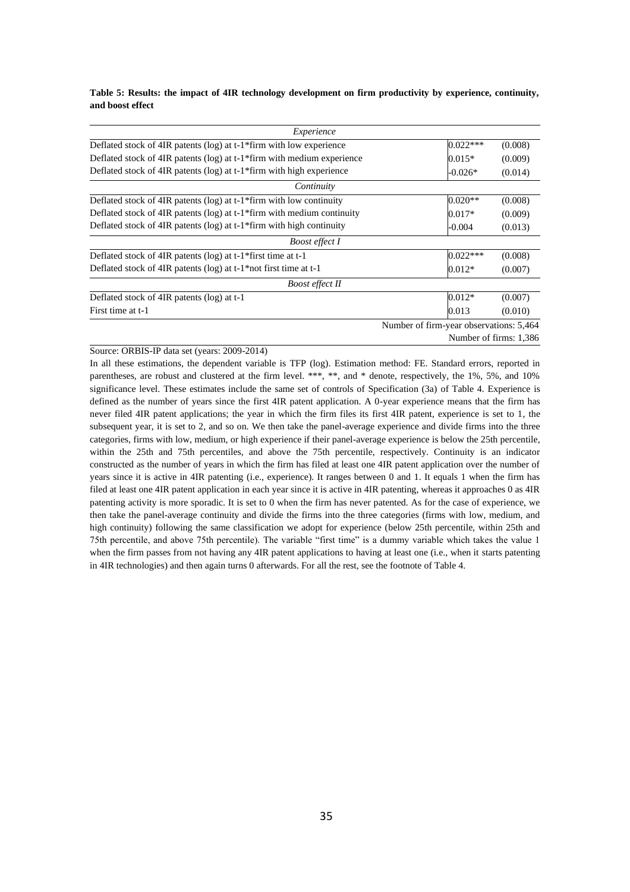**Table 5: Results: the impact of 4IR technology development on firm productivity by experience, continuity, and boost effect**

| Experience                                                                            |                                         |            |                        |
|---------------------------------------------------------------------------------------|-----------------------------------------|------------|------------------------|
| Deflated stock of 4IR patents ( $log$ ) at t-1 <sup>*</sup> firm with low experience  |                                         | $0.022***$ | (0.008)                |
| Deflated stock of 4IR patents (log) at t-1 <sup>*</sup> firm with medium experience   |                                         | $0.015*$   | (0.009)                |
| Deflated stock of 4IR patents (log) at t-1*firm with high experience                  |                                         | $-0.026*$  | (0.014)                |
| Continuity                                                                            |                                         |            |                        |
| Deflated stock of 4IR patents ( $log$ ) at t-1 $*$ firm with low continuity           |                                         | $0.020**$  | (0.008)                |
| Deflated stock of 4IR patents ( $log$ ) at t-1 $*$ firm with medium continuity        |                                         | $0.017*$   | (0.009)                |
| Deflated stock of 4IR patents ( $log$ ) at t-1 <sup>*</sup> firm with high continuity |                                         | $-0.004$   | (0.013)                |
| <b>Boost effect I</b>                                                                 |                                         |            |                        |
| Deflated stock of 4IR patents (log) at t-1*first time at t-1                          |                                         | $0.022***$ | (0.008)                |
| Deflated stock of 4IR patents ( $log$ ) at t-1*not first time at t-1                  |                                         | $0.012*$   | (0.007)                |
| <b>Boost effect II</b>                                                                |                                         |            |                        |
| Deflated stock of 4IR patents (log) at t-1                                            |                                         | $0.012*$   | (0.007)                |
| First time at t-1                                                                     |                                         | 0.013      | (0.010)                |
|                                                                                       | Number of firm-year observations: 5,464 |            |                        |
|                                                                                       |                                         |            | Number of firms: 1.386 |

#### Source: ORBIS-IP data set (years: 2009-2014)

In all these estimations, the dependent variable is TFP (log). Estimation method: FE. Standard errors, reported in parentheses, are robust and clustered at the firm level. \*\*\*, \*\*, and \* denote, respectively, the 1%, 5%, and 10% significance level. These estimates include the same set of controls of Specification (3a) of Table 4. Experience is defined as the number of years since the first 4IR patent application. A 0-year experience means that the firm has never filed 4IR patent applications; the year in which the firm files its first 4IR patent, experience is set to 1, the subsequent year, it is set to 2, and so on. We then take the panel-average experience and divide firms into the three categories, firms with low, medium, or high experience if their panel-average experience is below the 25th percentile, within the 25th and 75th percentiles, and above the 75th percentile, respectively. Continuity is an indicator constructed as the number of years in which the firm has filed at least one 4IR patent application over the number of years since it is active in 4IR patenting (i.e., experience). It ranges between 0 and 1. It equals 1 when the firm has filed at least one 4IR patent application in each year since it is active in 4IR patenting, whereas it approaches 0 as 4IR patenting activity is more sporadic. It is set to 0 when the firm has never patented. As for the case of experience, we then take the panel-average continuity and divide the firms into the three categories (firms with low, medium, and high continuity) following the same classification we adopt for experience (below 25th percentile, within 25th and 75th percentile, and above 75th percentile). The variable "first time" is a dummy variable which takes the value 1 when the firm passes from not having any 4IR patent applications to having at least one (i.e., when it starts patenting in 4IR technologies) and then again turns 0 afterwards. For all the rest, see the footnote of Table 4.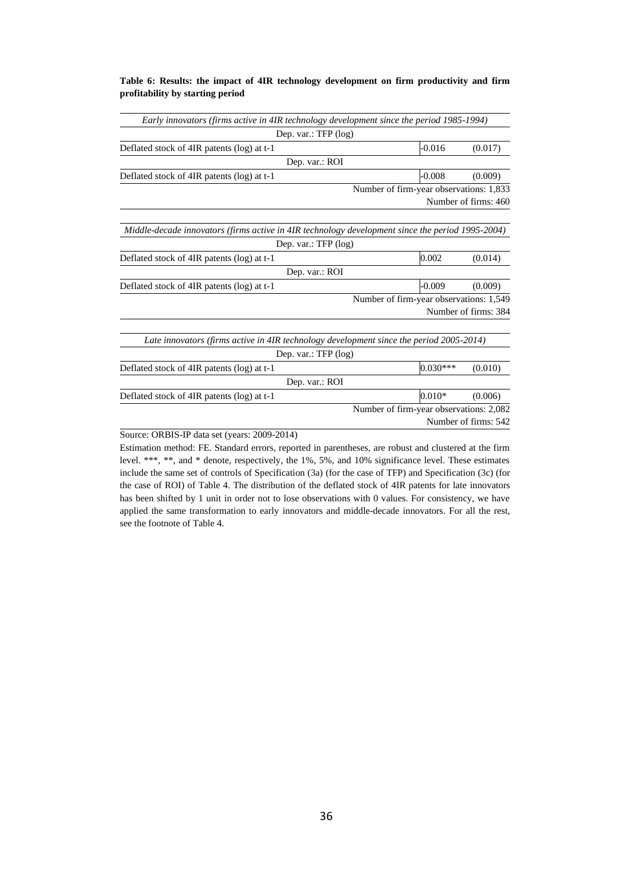#### **Table 6: Results: the impact of 4IR technology development on firm productivity and firm profitability by starting period**

| Early innovators (firms active in 4IR technology development since the period 1985-1994)         |                                         |                      |
|--------------------------------------------------------------------------------------------------|-----------------------------------------|----------------------|
| Dep. var.: $TFP$ (log)                                                                           |                                         |                      |
| Deflated stock of 4IR patents (log) at t-1                                                       | $-0.016$                                | (0.017)              |
| Dep. var.: ROI                                                                                   |                                         |                      |
| Deflated stock of 4IR patents (log) at t-1                                                       | $-0.008$                                | (0.009)              |
|                                                                                                  | Number of firm-year observations: 1,833 |                      |
|                                                                                                  |                                         | Number of firms: 460 |
|                                                                                                  |                                         |                      |
| Middle-decade innovators (firms active in 4IR technology development since the period 1995-2004) |                                         |                      |
| Dep. var.: TFP (log)                                                                             |                                         |                      |
| Deflated stock of 4IR patents (log) at t-1                                                       | 0.002                                   | (0.014)              |
| Dep. var.: ROI                                                                                   |                                         |                      |
| Deflated stock of 4IR patents (log) at t-1                                                       | $-0.009$                                | (0.009)              |
|                                                                                                  | Number of firm-year observations: 1,549 |                      |
|                                                                                                  |                                         | Number of firms: 384 |
|                                                                                                  |                                         |                      |
| Late innovators (firms active in 4IR technology development since the period 2005-2014)          |                                         |                      |
| Dep. var.: $TFP$ (log)                                                                           |                                         |                      |
| Deflated stock of 4IR patents (log) at t-1                                                       | $0.030***$                              | (0.010)              |
| Dep. var.: ROI                                                                                   |                                         |                      |
| Deflated stock of 4IR patents (log) at t-1                                                       | $0.010*$                                | (0.006)              |
|                                                                                                  | Number of firm-year observations: 2,082 |                      |
|                                                                                                  |                                         | Number of firms: 542 |
|                                                                                                  |                                         |                      |

Source: ORBIS-IP data set (years: 2009-2014)

Estimation method: FE. Standard errors, reported in parentheses, are robust and clustered at the firm level. \*\*\*, \*\*, and \* denote, respectively, the 1%, 5%, and 10% significance level. These estimates include the same set of controls of Specification (3a) (for the case of TFP) and Specification (3c) (for the case of ROI) of Table 4. The distribution of the deflated stock of 4IR patents for late innovators has been shifted by 1 unit in order not to lose observations with 0 values. For consistency, we have applied the same transformation to early innovators and middle-decade innovators. For all the rest, see the footnote of Table 4.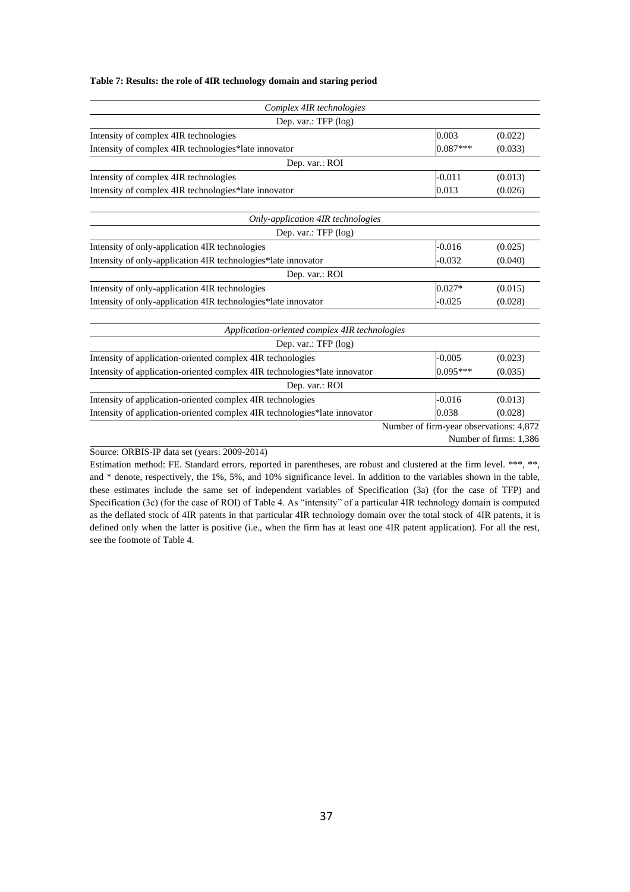#### **Table 7: Results: the role of 4IR technology domain and staring period**

| Complex 4IR technologies                                                  |                                         |                        |
|---------------------------------------------------------------------------|-----------------------------------------|------------------------|
| Dep. var.: TFP (log)                                                      |                                         |                        |
| Intensity of complex 4IR technologies                                     | 0.003                                   | (0.022)                |
| Intensity of complex 4IR technologies*late innovator                      | $0.087***$                              | (0.033)                |
| Dep. var.: ROI                                                            |                                         |                        |
| Intensity of complex 4IR technologies                                     | $-0.011$                                | (0.013)                |
| Intensity of complex 4IR technologies*late innovator                      | 0.013                                   | (0.026)                |
| Only-application 4IR technologies                                         |                                         |                        |
| Dep. var.: TFP $(log)$                                                    |                                         |                        |
| Intensity of only-application 4IR technologies                            | $-0.016$                                | (0.025)                |
| Intensity of only-application 4IR technologies*late innovator             | $-0.032$                                | (0.040)                |
| Dep. var.: ROI                                                            |                                         |                        |
| Intensity of only-application 4IR technologies                            | $0.027*$                                | (0.015)                |
| Intensity of only-application 4IR technologies*late innovator             | $-0.025$                                | (0.028)                |
| Application-oriented complex 4IR technologies                             |                                         |                        |
| Dep. var.: TFP (log)                                                      |                                         |                        |
| Intensity of application-oriented complex 4IR technologies                | $-0.005$                                | (0.023)                |
| Intensity of application-oriented complex 4IR technologies*late innovator | $0.095***$                              | (0.035)                |
| Dep. var.: ROI                                                            |                                         |                        |
| Intensity of application-oriented complex 4IR technologies                | $-0.016$                                | (0.013)                |
| Intensity of application-oriented complex 4IR technologies*late innovator | 0.038                                   | (0.028)                |
|                                                                           | Number of firm-year observations: 4,872 |                        |
|                                                                           |                                         | Number of firms: 1,386 |

Source: ORBIS-IP data set (years: 2009-2014)

Estimation method: FE. Standard errors, reported in parentheses, are robust and clustered at the firm level. \*\*\*, \*\*, and \* denote, respectively, the 1%, 5%, and 10% significance level. In addition to the variables shown in the table, these estimates include the same set of independent variables of Specification (3a) (for the case of TFP) and Specification (3c) (for the case of ROI) of Table 4. As "intensity" of a particular 4IR technology domain is computed as the deflated stock of 4IR patents in that particular 4IR technology domain over the total stock of 4IR patents, it is defined only when the latter is positive (i.e., when the firm has at least one 4IR patent application). For all the rest, see the footnote of Table 4.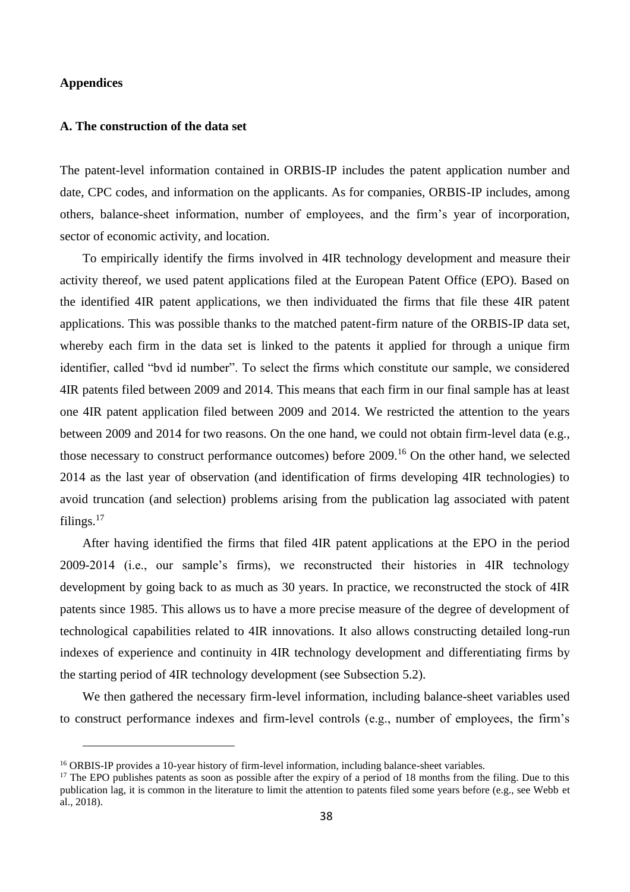#### **Appendices**

#### **A. The construction of the data set**

The patent-level information contained in ORBIS-IP includes the patent application number and date, CPC codes, and information on the applicants. As for companies, ORBIS-IP includes, among others, balance-sheet information, number of employees, and the firm's year of incorporation, sector of economic activity, and location.

To empirically identify the firms involved in 4IR technology development and measure their activity thereof, we used patent applications filed at the European Patent Office (EPO). Based on the identified 4IR patent applications, we then individuated the firms that file these 4IR patent applications. This was possible thanks to the matched patent-firm nature of the ORBIS-IP data set, whereby each firm in the data set is linked to the patents it applied for through a unique firm identifier, called "bvd id number". To select the firms which constitute our sample, we considered 4IR patents filed between 2009 and 2014. This means that each firm in our final sample has at least one 4IR patent application filed between 2009 and 2014. We restricted the attention to the years between 2009 and 2014 for two reasons. On the one hand, we could not obtain firm-level data (e.g., those necessary to construct performance outcomes) before 2009.<sup>16</sup> On the other hand, we selected 2014 as the last year of observation (and identification of firms developing 4IR technologies) to avoid truncation (and selection) problems arising from the publication lag associated with patent filings.<sup>17</sup>

After having identified the firms that filed 4IR patent applications at the EPO in the period 2009-2014 (i.e., our sample's firms), we reconstructed their histories in 4IR technology development by going back to as much as 30 years. In practice, we reconstructed the stock of 4IR patents since 1985. This allows us to have a more precise measure of the degree of development of technological capabilities related to 4IR innovations. It also allows constructing detailed long-run indexes of experience and continuity in 4IR technology development and differentiating firms by the starting period of 4IR technology development (see Subsection 5.2).

We then gathered the necessary firm-level information, including balance-sheet variables used to construct performance indexes and firm-level controls (e.g., number of employees, the firm's

<sup>&</sup>lt;sup>16</sup> ORBIS-IP provides a 10-year history of firm-level information, including balance-sheet variables.

<sup>&</sup>lt;sup>17</sup> The EPO publishes patents as soon as possible after the expiry of a period of 18 months from the filing. Due to this publication lag, it is common in the literature to limit the attention to patents filed some years before (e.g., see Webb et al., 2018).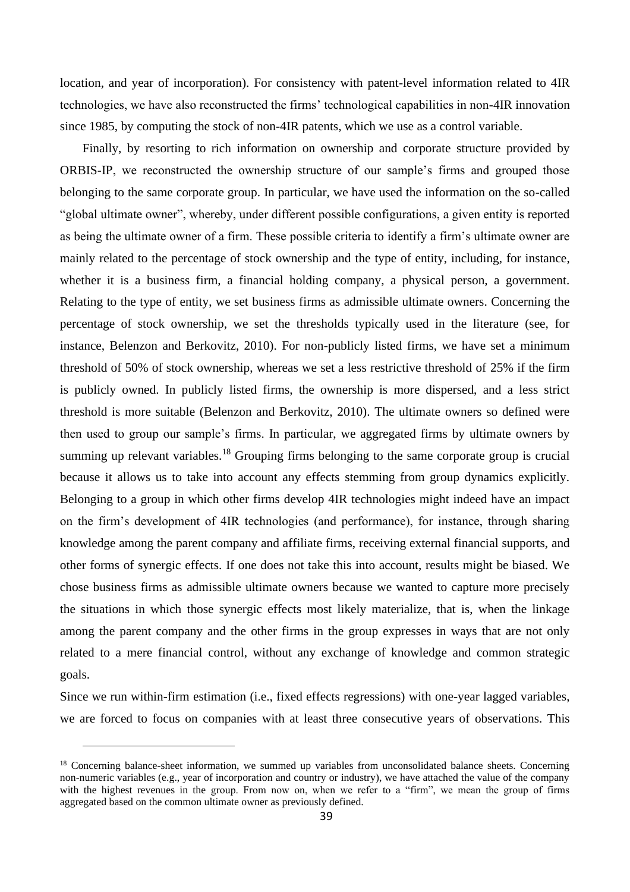location, and year of incorporation). For consistency with patent-level information related to 4IR technologies, we have also reconstructed the firms' technological capabilities in non-4IR innovation since 1985, by computing the stock of non-4IR patents, which we use as a control variable.

Finally, by resorting to rich information on ownership and corporate structure provided by ORBIS-IP, we reconstructed the ownership structure of our sample's firms and grouped those belonging to the same corporate group. In particular, we have used the information on the so-called "global ultimate owner", whereby, under different possible configurations, a given entity is reported as being the ultimate owner of a firm. These possible criteria to identify a firm's ultimate owner are mainly related to the percentage of stock ownership and the type of entity, including, for instance, whether it is a business firm, a financial holding company, a physical person, a government. Relating to the type of entity, we set business firms as admissible ultimate owners. Concerning the percentage of stock ownership, we set the thresholds typically used in the literature (see, for instance, Belenzon and Berkovitz, 2010). For non-publicly listed firms, we have set a minimum threshold of 50% of stock ownership, whereas we set a less restrictive threshold of 25% if the firm is publicly owned. In publicly listed firms, the ownership is more dispersed, and a less strict threshold is more suitable (Belenzon and Berkovitz, 2010). The ultimate owners so defined were then used to group our sample's firms. In particular, we aggregated firms by ultimate owners by summing up relevant variables.<sup>18</sup> Grouping firms belonging to the same corporate group is crucial because it allows us to take into account any effects stemming from group dynamics explicitly. Belonging to a group in which other firms develop 4IR technologies might indeed have an impact on the firm's development of 4IR technologies (and performance), for instance, through sharing knowledge among the parent company and affiliate firms, receiving external financial supports, and other forms of synergic effects. If one does not take this into account, results might be biased. We chose business firms as admissible ultimate owners because we wanted to capture more precisely the situations in which those synergic effects most likely materialize, that is, when the linkage among the parent company and the other firms in the group expresses in ways that are not only related to a mere financial control, without any exchange of knowledge and common strategic goals.

Since we run within-firm estimation (i.e., fixed effects regressions) with one-year lagged variables, we are forced to focus on companies with at least three consecutive years of observations. This

<sup>&</sup>lt;sup>18</sup> Concerning balance-sheet information, we summed up variables from unconsolidated balance sheets. Concerning non-numeric variables (e.g., year of incorporation and country or industry), we have attached the value of the company with the highest revenues in the group. From now on, when we refer to a "firm", we mean the group of firms aggregated based on the common ultimate owner as previously defined.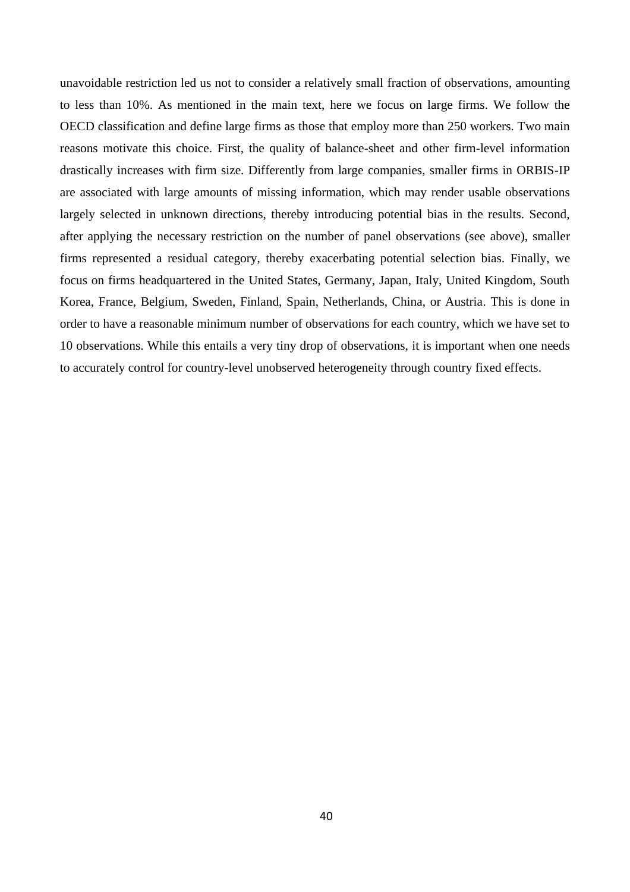unavoidable restriction led us not to consider a relatively small fraction of observations, amounting to less than 10%. As mentioned in the main text, here we focus on large firms. We follow the OECD classification and define large firms as those that employ more than 250 workers. Two main reasons motivate this choice. First, the quality of balance-sheet and other firm-level information drastically increases with firm size. Differently from large companies, smaller firms in ORBIS-IP are associated with large amounts of missing information, which may render usable observations largely selected in unknown directions, thereby introducing potential bias in the results. Second, after applying the necessary restriction on the number of panel observations (see above), smaller firms represented a residual category, thereby exacerbating potential selection bias. Finally, we focus on firms headquartered in the United States, Germany, Japan, Italy, United Kingdom, South Korea, France, Belgium, Sweden, Finland, Spain, Netherlands, China, or Austria. This is done in order to have a reasonable minimum number of observations for each country, which we have set to 10 observations. While this entails a very tiny drop of observations, it is important when one needs to accurately control for country-level unobserved heterogeneity through country fixed effects.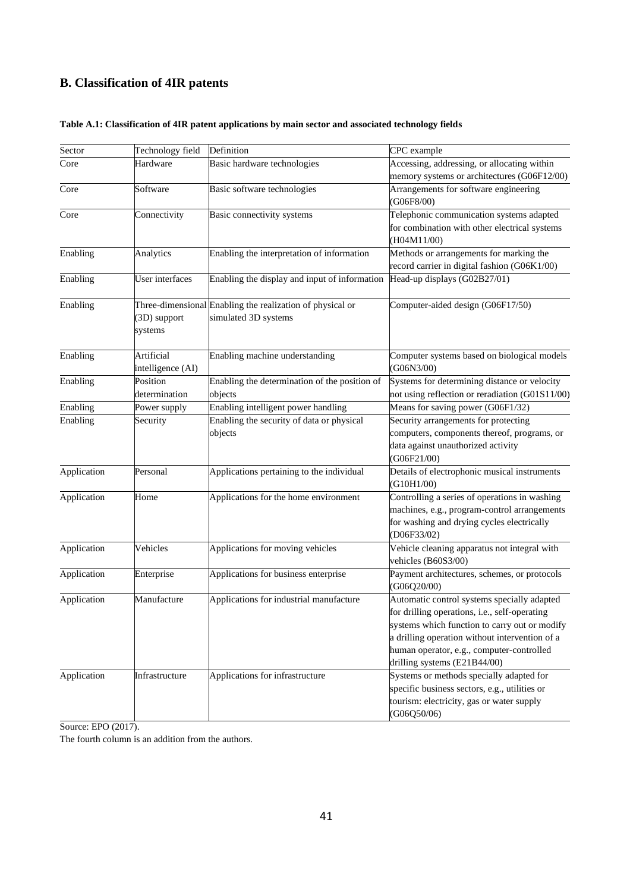### **B. Classification of 4IR patents**

| Sector      | Technology field                | Definition                                                                        | CPC example                                                                                                                                                                                                                                                                  |
|-------------|---------------------------------|-----------------------------------------------------------------------------------|------------------------------------------------------------------------------------------------------------------------------------------------------------------------------------------------------------------------------------------------------------------------------|
| Core        | Hardware                        | Basic hardware technologies                                                       | Accessing, addressing, or allocating within                                                                                                                                                                                                                                  |
|             |                                 |                                                                                   | memory systems or architectures (G06F12/00)                                                                                                                                                                                                                                  |
| Core        | Software                        | Basic software technologies                                                       | Arrangements for software engineering<br>(G06F8/00)                                                                                                                                                                                                                          |
| Core        | Connectivity                    | Basic connectivity systems                                                        | Telephonic communication systems adapted<br>for combination with other electrical systems                                                                                                                                                                                    |
|             |                                 |                                                                                   | (H04M11/00)                                                                                                                                                                                                                                                                  |
| Enabling    | Analytics                       | Enabling the interpretation of information                                        | Methods or arrangements for marking the                                                                                                                                                                                                                                      |
|             |                                 |                                                                                   | record carrier in digital fashion (G06K1/00)                                                                                                                                                                                                                                 |
| Enabling    | User interfaces                 | Enabling the display and input of information                                     | Head-up displays (G02B27/01)                                                                                                                                                                                                                                                 |
| Enabling    | (3D) support<br>systems         | Three-dimensional Enabling the realization of physical or<br>simulated 3D systems | Computer-aided design (G06F17/50)                                                                                                                                                                                                                                            |
| Enabling    | Artificial<br>intelligence (AI) | Enabling machine understanding                                                    | Computer systems based on biological models<br>(G06N3/00)                                                                                                                                                                                                                    |
| Enabling    | Position                        | Enabling the determination of the position of                                     | Systems for determining distance or velocity                                                                                                                                                                                                                                 |
|             | determination                   | objects                                                                           | not using reflection or reradiation (G01S11/00)                                                                                                                                                                                                                              |
| Enabling    | Power supply                    | Enabling intelligent power handling                                               | Means for saving power (G06F1/32)                                                                                                                                                                                                                                            |
| Enabling    | Security                        | Enabling the security of data or physical<br>objects                              | Security arrangements for protecting<br>computers, components thereof, programs, or<br>data against unauthorized activity<br>(G06F21/00)                                                                                                                                     |
| Application | Personal                        | Applications pertaining to the individual                                         | Details of electrophonic musical instruments<br>(G10H1/00)                                                                                                                                                                                                                   |
| Application | Home                            | Applications for the home environment                                             | Controlling a series of operations in washing<br>machines, e.g., program-control arrangements<br>for washing and drying cycles electrically<br>(D06F33/02)                                                                                                                   |
| Application | Vehicles                        | Applications for moving vehicles                                                  | Vehicle cleaning apparatus not integral with<br>vehicles (B60S3/00)                                                                                                                                                                                                          |
| Application | Enterprise                      | Applications for business enterprise                                              | Payment architectures, schemes, or protocols<br>(G06Q20/00)                                                                                                                                                                                                                  |
| Application | Manufacture                     | Applications for industrial manufacture                                           | Automatic control systems specially adapted<br>for drilling operations, i.e., self-operating<br>systems which function to carry out or modify<br>a drilling operation without intervention of a<br>human operator, e.g., computer-controlled<br>drilling systems (E21B44/00) |
| Application | Infrastructure                  | Applications for infrastructure                                                   | Systems or methods specially adapted for<br>specific business sectors, e.g., utilities or<br>tourism: electricity, gas or water supply<br>(G06Q50/06)                                                                                                                        |

### **Table A.1: Classification of 4IR patent applications by main sector and associated technology fields**

Source: EPO (2017).

The fourth column is an addition from the authors.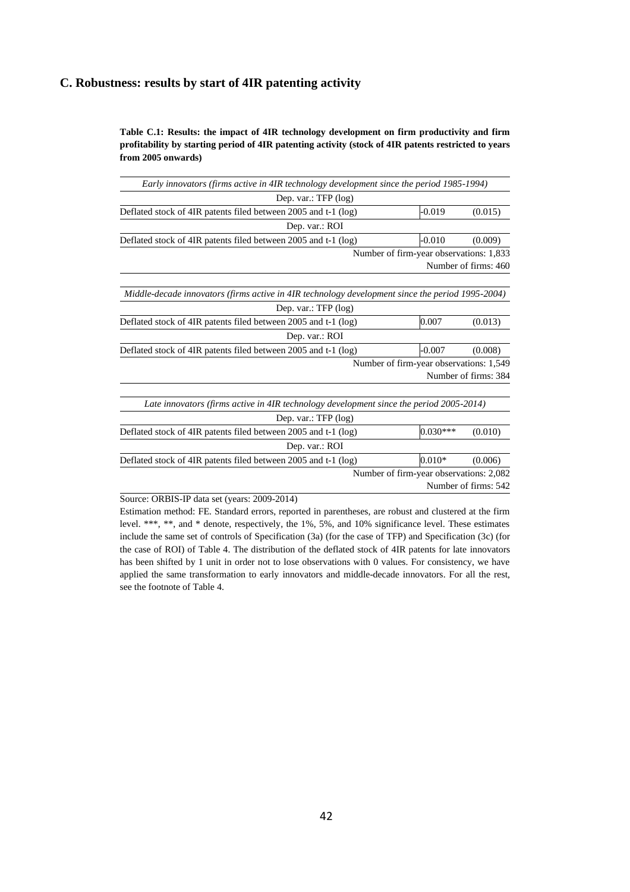#### **C. Robustness: results by start of 4IR patenting activity**

**Table C.1: Results: the impact of 4IR technology development on firm productivity and firm profitability by starting period of 4IR patenting activity (stock of 4IR patents restricted to years from 2005 onwards)**

| Early innovators (firms active in 4IR technology development since the period 1985-1994)         |                                         |                      |
|--------------------------------------------------------------------------------------------------|-----------------------------------------|----------------------|
| Dep. var.: $TFP$ (log)                                                                           |                                         |                      |
| Deflated stock of 4IR patents filed between 2005 and t-1 (log)                                   | $-0.019$                                | (0.015)              |
| Dep. var.: ROI                                                                                   |                                         |                      |
| Deflated stock of 4IR patents filed between 2005 and t-1 (log)                                   | $-0.010$                                | (0.009)              |
|                                                                                                  | Number of firm-year observations: 1,833 | Number of firms: 460 |
| Middle-decade innovators (firms active in 4IR technology development since the period 1995-2004) |                                         |                      |
| Dep. var.: $TFP$ (log)                                                                           |                                         |                      |
| Deflated stock of 4IR patents filed between 2005 and t-1 (log)                                   | 0.007                                   | (0.013)              |
| Dep. var.: ROI                                                                                   |                                         |                      |
| Deflated stock of 4IR patents filed between 2005 and t-1 (log)                                   | $-0.007$                                | (0.008)              |
|                                                                                                  | Number of firm-year observations: 1,549 | Number of firms: 384 |
| Late innovators (firms active in 4IR technology development since the period 2005-2014)          |                                         |                      |
| Dep. var.: $TFP$ (log)                                                                           |                                         |                      |
| Deflated stock of 4IR patents filed between 2005 and t-1 (log)                                   | $0.030***$                              | (0.010)              |
| Dep. var.: ROI                                                                                   |                                         |                      |
| Deflated stock of 4IR patents filed between 2005 and t-1 (log)                                   | $0.010*$                                | (0.006)              |
|                                                                                                  | Number of firm-year observations: 2,082 |                      |
|                                                                                                  |                                         | Number of firms: 542 |

Source: ORBIS-IP data set (years: 2009-2014)

Estimation method: FE. Standard errors, reported in parentheses, are robust and clustered at the firm level. \*\*\*, \*\*, and \* denote, respectively, the 1%, 5%, and 10% significance level. These estimates include the same set of controls of Specification (3a) (for the case of TFP) and Specification (3c) (for the case of ROI) of Table 4. The distribution of the deflated stock of 4IR patents for late innovators has been shifted by 1 unit in order not to lose observations with 0 values. For consistency, we have applied the same transformation to early innovators and middle-decade innovators. For all the rest, see the footnote of Table 4.